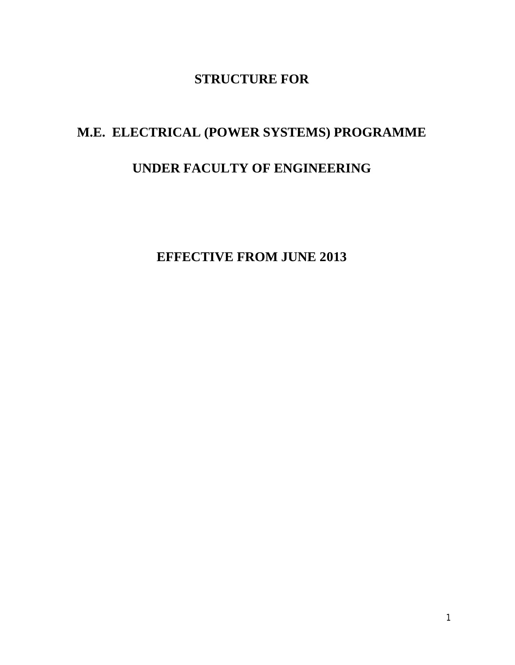# **STRUCTURE FOR**

# **M.E. ELECTRICAL (POWER SYSTEMS) PROGRAMME**

# **UNDER FACULTY OF ENGINEERING**

**EFFECTIVE FROM JUNE 2013**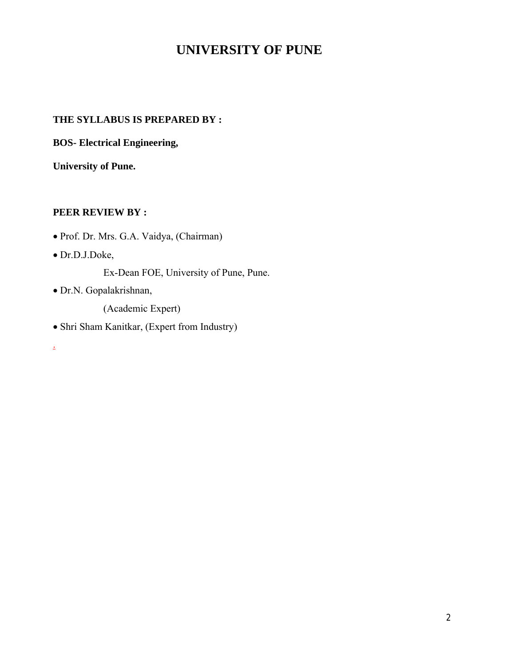# **UNIVERSITY OF PUNE**

# **THE SYLLABUS IS PREPARED BY :**

**BOS- Electrical Engineering,**

**University of Pune.**

#### **PEER REVIEW BY :**

- Prof. Dr. Mrs. G.A. Vaidya, (Chairman)
- Dr.D.J.Doke,

.

- Ex-Dean FOE, University of Pune, Pune.
- Dr.N. Gopalakrishnan,

(Academic Expert)

Shri Sham Kanitkar, (Expert from Industry)

2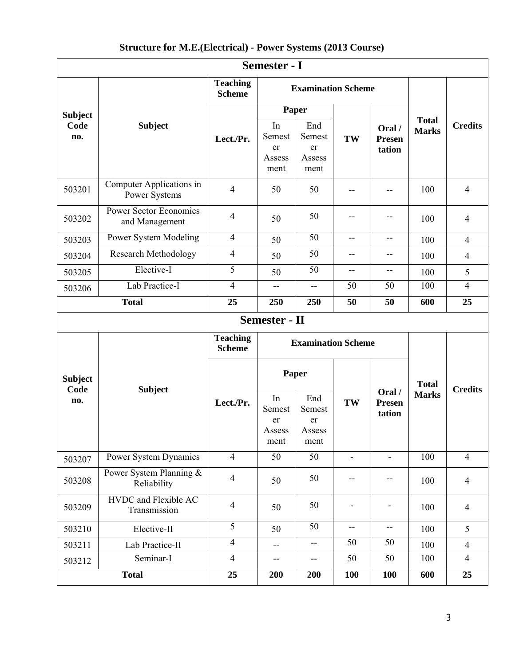|  | <b>Structure for M.E. (Electrical) - Power Systems (2013 Course)</b> |  |  |
|--|----------------------------------------------------------------------|--|--|
|--|----------------------------------------------------------------------|--|--|

|                               | <b>Semester - I</b>                                           |                                  |                                                      |                                       |                               |                           |                              |                |  |
|-------------------------------|---------------------------------------------------------------|----------------------------------|------------------------------------------------------|---------------------------------------|-------------------------------|---------------------------|------------------------------|----------------|--|
|                               |                                                               | <b>Teaching</b><br><b>Scheme</b> |                                                      | <b>Examination Scheme</b>             |                               |                           |                              |                |  |
| <b>Subject</b><br>Code<br>no. | <b>Subject</b>                                                | Lect./Pr.                        | <b>Paper</b><br>In<br>Semest<br>er<br>Assess<br>ment | End<br>Semest<br>er<br>Assess<br>ment | TW                            | Oral/<br>Presen<br>tation | <b>Total</b><br><b>Marks</b> | <b>Credits</b> |  |
| 503201                        | Computer Applications in<br>Power Systems                     | $\overline{4}$                   | 50                                                   | 50                                    |                               | --                        | 100                          | $\overline{4}$ |  |
| 503202                        | <b>Power Sector Economics</b><br>and Management               | $\overline{4}$                   | 50                                                   | 50                                    |                               | --                        | 100                          | $\overline{4}$ |  |
| 503203                        | Power System Modeling                                         | $\overline{4}$                   | 50                                                   | 50                                    | --                            | $-$                       | 100                          | $\overline{4}$ |  |
| 503204                        | <b>Research Methodology</b>                                   | $\overline{4}$                   | 50                                                   | 50                                    | --                            | --                        | 100                          | $\overline{4}$ |  |
| 503205                        | Elective-I                                                    | 5                                | 50                                                   | 50                                    | --                            | $- -$                     | 100                          | 5              |  |
| 503206                        | Lab Practice-I                                                | $\overline{4}$                   | $-$                                                  | $\overline{a}$                        | 50                            | 50                        | 100                          | $\overline{4}$ |  |
| <b>Total</b>                  |                                                               | 25                               | 250                                                  | 250                                   | 50                            | 50                        | 600                          | 25             |  |
|                               |                                                               |                                  | <b>Semester - II</b>                                 |                                       |                               |                           |                              |                |  |
|                               | <b>Teaching</b><br><b>Examination Scheme</b><br><b>Scheme</b> |                                  |                                                      |                                       |                               |                           |                              |                |  |
| <b>Subject</b><br>Code<br>no. | <b>Subject</b>                                                | Lect./Pr.                        | Paper<br>End<br>In                                   |                                       | Oral /<br>TW<br><b>Presen</b> |                           | <b>Total</b><br><b>Marks</b> | <b>Credits</b> |  |
|                               |                                                               |                                  | Semest<br>er<br>Assess<br>ment                       | Semest<br>er<br>Assess<br>ment        |                               | tation                    |                              |                |  |
| 503207                        | Power System Dynamics                                         | $\overline{4}$                   | 50                                                   | 50                                    | $\blacksquare$                | ÷.                        | 100                          | $\overline{4}$ |  |
| 503208                        | Power System Planning &<br>Reliability                        | $\overline{4}$                   | 50                                                   | 50                                    |                               | --                        | 100                          | $\overline{4}$ |  |
| 503209                        | <b>HVDC</b> and Flexible AC<br>Transmission                   | $\overline{4}$                   | 50                                                   | 50                                    |                               |                           | 100                          | $\overline{4}$ |  |
| 503210                        | Elective-II                                                   | 5                                | 50                                                   | 50                                    | $-$                           | $\overline{\phantom{a}}$  | 100                          | 5              |  |
| 503211                        | Lab Practice-II                                               | $\overline{4}$                   | --                                                   | $\overline{\phantom{a}}$              | 50                            | 50                        | 100                          | $\overline{4}$ |  |
| 503212                        | Seminar-I                                                     | $\overline{4}$                   | --                                                   | $-$                                   | 50                            | 50                        | 100                          | $\overline{4}$ |  |
| <b>Total</b>                  |                                                               | 25                               | 200                                                  | 200                                   | 100                           | 100                       | 600                          | 25             |  |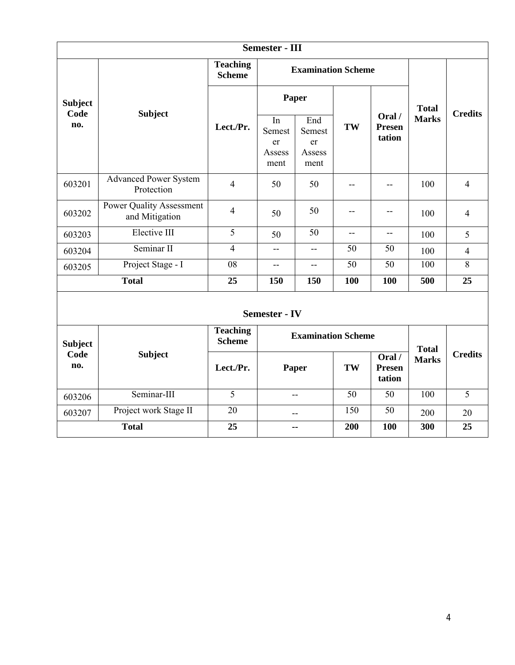|                | <b>Semester - III</b>                             |                                  |                                      |                                       |                |                                  |                |                |  |
|----------------|---------------------------------------------------|----------------------------------|--------------------------------------|---------------------------------------|----------------|----------------------------------|----------------|----------------|--|
|                |                                                   |                                  |                                      | <b>Examination Scheme</b>             |                |                                  |                |                |  |
| <b>Subject</b> |                                                   |                                  | Paper                                |                                       |                | <b>Total</b>                     | <b>Credits</b> |                |  |
| no.            | Code<br><b>Subject</b>                            | Lect./Pr.                        | In<br>Semest<br>er<br>Assess<br>ment | End<br>Semest<br>er<br>Assess<br>ment | TW             | Oral/<br><b>Presen</b><br>tation | <b>Marks</b>   |                |  |
| 603201         | <b>Advanced Power System</b><br>Protection        | $\overline{4}$                   | 50                                   | 50                                    |                | --                               | 100            | $\overline{4}$ |  |
| 603202         | <b>Power Quality Assessment</b><br>and Mitigation | $\overline{4}$                   | 50                                   | 50                                    |                | --                               | 100            | $\overline{4}$ |  |
| 603203         | Elective III                                      | $\overline{5}$                   | 50                                   | 50                                    | $\overline{a}$ | $\mathbf{u}$                     | 100            | 5              |  |
| 603204         | Seminar II                                        | $\overline{4}$                   | $-$                                  | $\mathbf{u}$                          | 50             | 50                               | 100            | $\overline{4}$ |  |
| 603205         | Project Stage - I                                 | 08                               | $-$                                  | $\mathbf{u}$                          | 50             | 50                               | 100            | 8              |  |
|                | <b>Total</b>                                      | 25<br>150<br>150                 |                                      | 100                                   | 100            | 500                              | 25             |                |  |
|                | <b>Semester - IV</b>                              |                                  |                                      |                                       |                |                                  |                |                |  |
| <b>Subject</b> |                                                   | <b>Teaching</b><br><b>Scheme</b> | <b>Examination Scheme</b>            |                                       |                | <b>Total</b>                     |                |                |  |
| Code<br>no.    | <b>Subject</b>                                    | Lect./Pr.                        | Paper                                |                                       | TW             | Oral/<br>Presen<br>tation        | <b>Marks</b>   | <b>Credits</b> |  |
| 603206         | Seminar-III                                       | $\overline{5}$                   | $-$                                  |                                       | 50             | 50                               | 100            | $\overline{5}$ |  |
| 603207         | Project work Stage II                             | 20                               | --                                   |                                       | 150            | 50                               | 200            | 20             |  |
|                | <b>Total</b>                                      | 25                               | --                                   |                                       | 200            | 100                              | 300            | 25             |  |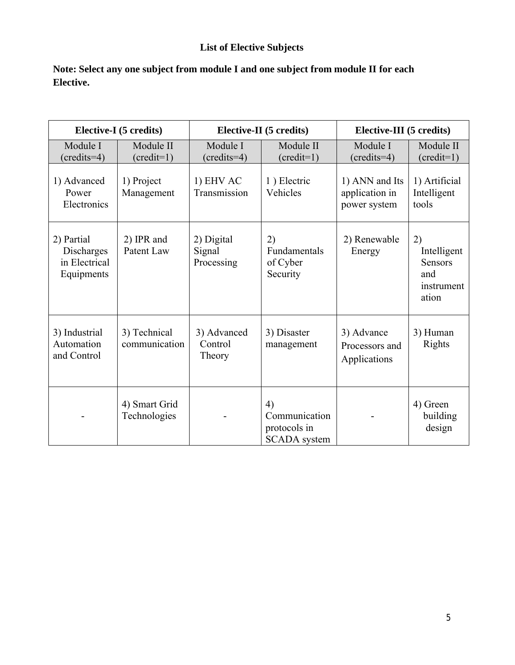# **List of Elective Subjects**

| Note: Select any one subject from module I and one subject from module II for each |  |
|------------------------------------------------------------------------------------|--|
| Elective.                                                                          |  |

| Elective-I (5 credits)                                  |                               |                                    | Elective-II (5 credits)                                    | Elective-III (5 credits)                         |                                                                   |  |
|---------------------------------------------------------|-------------------------------|------------------------------------|------------------------------------------------------------|--------------------------------------------------|-------------------------------------------------------------------|--|
| Module I<br>$({\rm credits=4})$                         | Module II<br>$(credit=1)$     | Module I<br>$({\rm credits=4})$    | Module II<br>$(credit=1)$                                  | Module I<br>$({\rm credits=4})$                  | Module II<br>$(\text{credit=1})$                                  |  |
| 1) Advanced<br>Power<br>Electronics                     | 1) Project<br>Management      | 1) EHV AC<br>Transmission          | 1) Electric<br>Vehicles                                    | 1) ANN and Its<br>application in<br>power system | 1) Artificial<br>Intelligent<br>tools                             |  |
| 2) Partial<br>Discharges<br>in Electrical<br>Equipments | 2) IPR and<br>Patent Law      | 2) Digital<br>Signal<br>Processing | 2)<br>Fundamentals<br>of Cyber<br>Security                 | 2) Renewable<br>Energy                           | 2)<br>Intelligent<br><b>Sensors</b><br>and<br>instrument<br>ation |  |
| 3) Industrial<br>Automation<br>and Control              | 3) Technical<br>communication | 3) Advanced<br>Control<br>Theory   | 3) Disaster<br>management                                  | 3) Advance<br>Processors and<br>Applications     | 3) Human<br><b>Rights</b>                                         |  |
|                                                         | 4) Smart Grid<br>Technologies |                                    | 4)<br>Communication<br>protocols in<br><b>SCADA</b> system |                                                  | 4) Green<br>building<br>design                                    |  |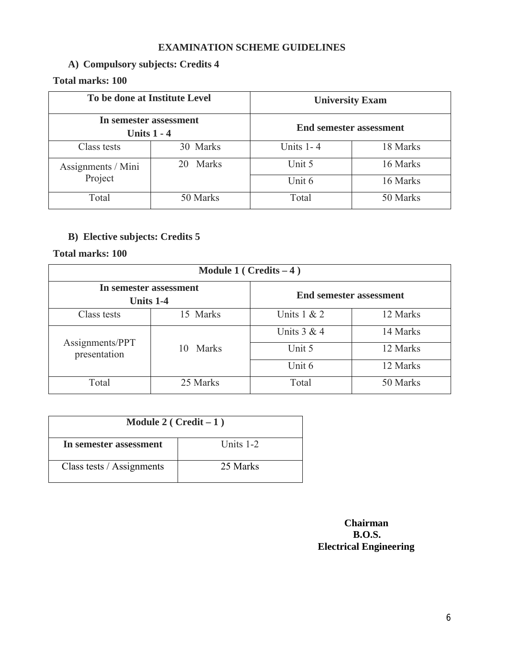# **EXAMINATION SCHEME GUIDELINES**

# **A) Compulsory subjects: Credits 4**

# **Total marks: 100**

| To be done at Institute Level           |             | <b>University Exam</b>         |          |  |  |
|-----------------------------------------|-------------|--------------------------------|----------|--|--|
| In semester assessment<br>Units $1 - 4$ |             | <b>End semester assessment</b> |          |  |  |
| Class tests                             | 30 Marks    | Units $1 - 4$                  | 18 Marks |  |  |
| Assignments / Mini                      | Marks<br>20 |                                | 16 Marks |  |  |
| Project                                 |             | Unit 6                         | 16 Marks |  |  |
| Total                                   | 50 Marks    | Total                          | 50 Marks |  |  |

# **B) Elective subjects: Credits 5**

## **Total marks: 100**

| Module 1 ( $Credits - 4$ )          |             |                                |          |  |  |
|-------------------------------------|-------------|--------------------------------|----------|--|--|
| In semester assessment<br>Units 1-4 |             | <b>End semester assessment</b> |          |  |  |
| Class tests                         | 15 Marks    | Units $1 & 2$                  | 12 Marks |  |  |
| Assignments/PPT<br>presentation     |             | Units $3 & 4$                  | 14 Marks |  |  |
|                                     | Marks<br>10 | Unit 5                         | 12 Marks |  |  |
|                                     |             | Unit 6                         | 12 Marks |  |  |
| Total                               | 25 Marks    | Total                          | 50 Marks |  |  |

| Module 2 ( $Credit - 1$ )             |          |  |  |
|---------------------------------------|----------|--|--|
| Units $1-2$<br>In semester assessment |          |  |  |
| Class tests / Assignments             | 25 Marks |  |  |

### **Chairman B.O.S. Electrical Engineering**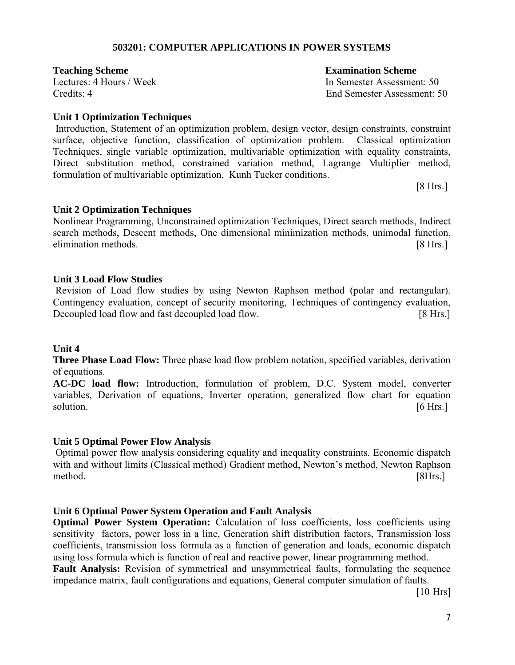#### **503201: COMPUTER APPLICATIONS IN POWER SYSTEMS**

**Teaching Scheme Examination Scheme** 

#### **Unit 1 Optimization Techniques**

Introduction, Statement of an optimization problem, design vector, design constraints, constraint surface, objective function, classification of optimization problem. Classical optimization Techniques, single variable optimization, multivariable optimization with equality constraints, Direct substitution method, constrained variation method, Lagrange Multiplier method, formulation of multivariable optimization, Kunh Tucker conditions.

[8 Hrs.]

#### **Unit 2 Optimization Techniques**

Nonlinear Programming, Unconstrained optimization Techniques, Direct search methods, Indirect search methods, Descent methods, One dimensional minimization methods, unimodal function, elimination methods. [8 Hrs.]

#### **Unit 3 Load Flow Studies**

Revision of Load flow studies by using Newton Raphson method (polar and rectangular). Contingency evaluation, concept of security monitoring, Techniques of contingency evaluation, Decoupled load flow and fast decoupled load flow. [8 Hrs.]

#### **Unit 4**

**Three Phase Load Flow:** Three phase load flow problem notation, specified variables, derivation of equations.

**AC-DC load flow:** Introduction, formulation of problem, D.C. System model, converter variables, Derivation of equations, Inverter operation, generalized flow chart for equation solution. [6 Hrs.]

#### **Unit 5 Optimal Power Flow Analysis**

Optimal power flow analysis considering equality and inequality constraints. Economic dispatch with and without limits (Classical method) Gradient method, Newton's method, Newton Raphson method. [8Hrs.]

#### **Unit 6 Optimal Power System Operation and Fault Analysis**

**Optimal Power System Operation:** Calculation of loss coefficients, loss coefficients using sensitivity factors, power loss in a line, Generation shift distribution factors, Transmission loss coefficients, transmission loss formula as a function of generation and loads, economic dispatch using loss formula which is function of real and reactive power, linear programming method. **Fault Analysis:** Revision of symmetrical and unsymmetrical faults, formulating the sequence impedance matrix, fault configurations and equations, General computer simulation of faults.

[10 Hrs]

Lectures: 4 Hours / Week In Semester Assessment: 50 Credits: 4 End Semester Assessment: 50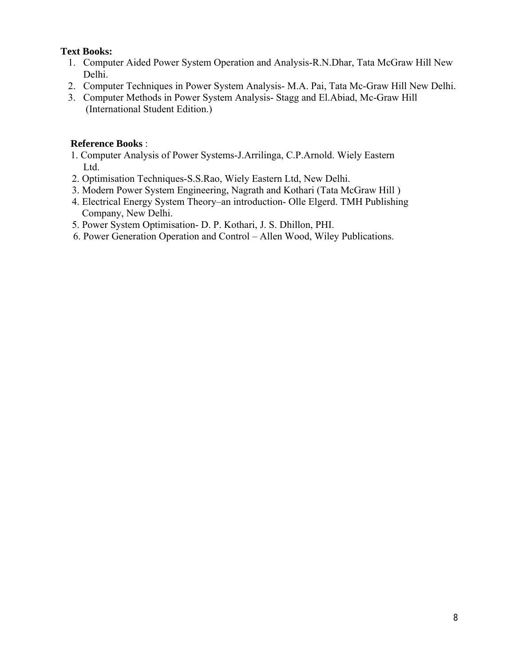#### **Text Books:**

- 1. Computer Aided Power System Operation and Analysis-R.N.Dhar, Tata McGraw Hill New Delhi.
- 2. Computer Techniques in Power System Analysis- M.A. Pai, Tata Mc-Graw Hill New Delhi.
- 3. Computer Methods in Power System Analysis- Stagg and El.Abiad, Mc-Graw Hill (International Student Edition.)

### **Reference Books** :

- 1. Computer Analysis of Power Systems-J.Arrilinga, C.P.Arnold. Wiely Eastern Ltd.
- 2. Optimisation Techniques-S.S.Rao, Wiely Eastern Ltd, New Delhi.
- 3. Modern Power System Engineering, Nagrath and Kothari (Tata McGraw Hill )
- 4. Electrical Energy System Theory–an introduction- Olle Elgerd. TMH Publishing Company, New Delhi.
- 5. Power System Optimisation- D. P. Kothari, J. S. Dhillon, PHI.
- 6. Power Generation Operation and Control Allen Wood, Wiley Publications.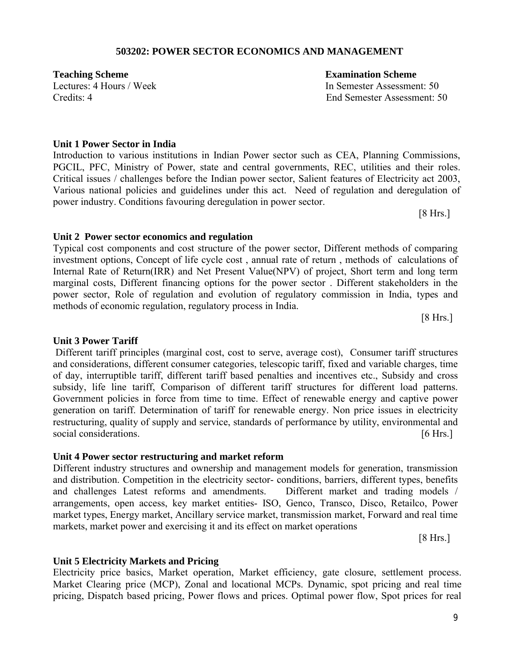#### **503202: POWER SECTOR ECONOMICS AND MANAGEMENT**

**Teaching Scheme Examination Scheme** 

Lectures: 4 Hours / Week In Semester Assessment: 50 Credits: 4 End Semester Assessment: 50

#### **Unit 1 Power Sector in India**

Introduction to various institutions in Indian Power sector such as CEA, Planning Commissions, PGCIL, PFC, Ministry of Power, state and central governments, REC, utilities and their roles. Critical issues / challenges before the Indian power sector, Salient features of Electricity act 2003, Various national policies and guidelines under this act. Need of regulation and deregulation of power industry. Conditions favouring deregulation in power sector.

[8 Hrs.]

#### **Unit 2 Power sector economics and regulation**

Typical cost components and cost structure of the power sector, Different methods of comparing investment options, Concept of life cycle cost , annual rate of return , methods of calculations of Internal Rate of Return(IRR) and Net Present Value(NPV) of project, Short term and long term marginal costs, Different financing options for the power sector . Different stakeholders in the power sector, Role of regulation and evolution of regulatory commission in India, types and methods of economic regulation, regulatory process in India.

[8 Hrs.]

#### **Unit 3 Power Tariff**

Different tariff principles (marginal cost, cost to serve, average cost), Consumer tariff structures and considerations, different consumer categories, telescopic tariff, fixed and variable charges, time of day, interruptible tariff, different tariff based penalties and incentives etc., Subsidy and cross subsidy, life line tariff, Comparison of different tariff structures for different load patterns. Government policies in force from time to time. Effect of renewable energy and captive power generation on tariff. Determination of tariff for renewable energy. Non price issues in electricity restructuring, quality of supply and service, standards of performance by utility, environmental and social considerations. [6 Hrs.]

#### **Unit 4 Power sector restructuring and market reform**

Different industry structures and ownership and management models for generation, transmission and distribution. Competition in the electricity sector- conditions, barriers, different types, benefits and challenges Latest reforms and amendments. Different market and trading models / arrangements, open access, key market entities- ISO, Genco, Transco, Disco, Retailco, Power market types, Energy market, Ancillary service market, transmission market, Forward and real time markets, market power and exercising it and its effect on market operations

[8 Hrs.]

#### **Unit 5 Electricity Markets and Pricing**

Electricity price basics, Market operation, Market efficiency, gate closure, settlement process. Market Clearing price (MCP), Zonal and locational MCPs. Dynamic, spot pricing and real time pricing, Dispatch based pricing, Power flows and prices. Optimal power flow, Spot prices for real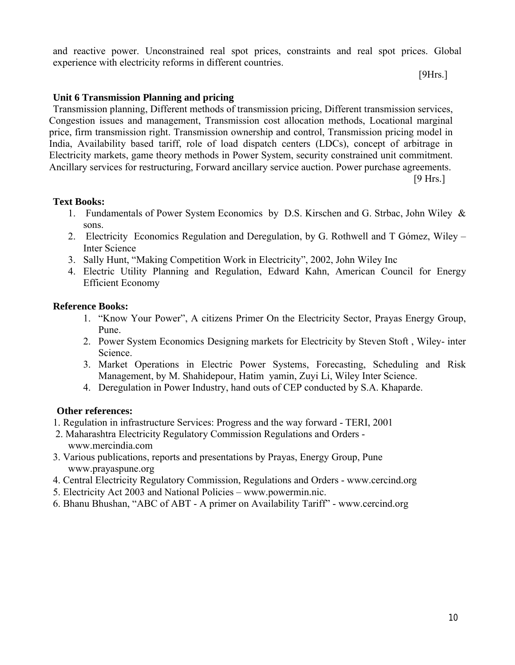and reactive power. Unconstrained real spot prices, constraints and real spot prices. Global experience with electricity reforms in different countries.

[9Hrs.]

#### **Unit 6 Transmission Planning and pricing**

Transmission planning, Different methods of transmission pricing, Different transmission services, Congestion issues and management, Transmission cost allocation methods, Locational marginal price, firm transmission right. Transmission ownership and control, Transmission pricing model in India, Availability based tariff, role of load dispatch centers (LDCs), concept of arbitrage in Electricity markets, game theory methods in Power System, security constrained unit commitment. Ancillary services for restructuring, Forward ancillary service auction. Power purchase agreements.

[9 Hrs.]

#### **Text Books:**

- 1. Fundamentals of Power System Economics by D.S. Kirschen and G. Strbac, John Wiley & sons.
- 2. Electricity Economics Regulation and Deregulation, by G. Rothwell and T Gómez, Wiley Inter Science
- 3. Sally Hunt, "Making Competition Work in Electricity", 2002, John Wiley Inc
- 4. Electric Utility Planning and Regulation, Edward Kahn, American Council for Energy Efficient Economy

#### **Reference Books:**

- 1. "Know Your Power", A citizens Primer On the Electricity Sector, Prayas Energy Group, Pune.
- 2. Power System Economics Designing markets for Electricity by Steven Stoft , Wiley- inter Science.
- 3. Market Operations in Electric Power Systems, Forecasting, Scheduling and Risk Management, by M. Shahidepour, Hatim yamin, Zuyi Li, Wiley Inter Science.
- 4. Deregulation in Power Industry, hand outs of CEP conducted by S.A. Khaparde.

#### **Other references:**

- 1. Regulation in infrastructure Services: Progress and the way forward TERI, 2001
- 2. Maharashtra Electricity Regulatory Commission Regulations and Orders www.mercindia.com
- 3. Various publications, reports and presentations by Prayas, Energy Group, Pune www.prayaspune.org
- 4. Central Electricity Regulatory Commission, Regulations and Orders www.cercind.org
- 5. Electricity Act 2003 and National Policies www.powermin.nic.
- 6. Bhanu Bhushan, "ABC of ABT A primer on Availability Tariff" www.cercind.org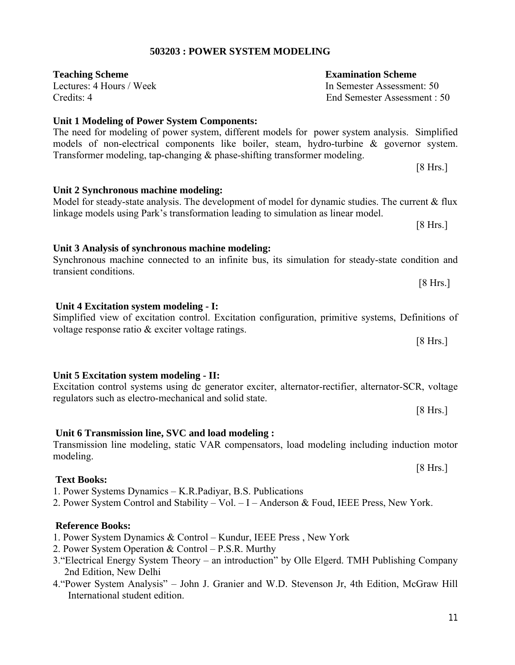# **503203 : POWER SYSTEM MODELING**

| Credits: 4                                                                                    | End Semester Assessment: 50 |
|-----------------------------------------------------------------------------------------------|-----------------------------|
| Unit 1 Modeling of Power System Components:                                                   |                             |
| The need for modeling of power system, different models for power system analysis. Simplified |                             |
| models of non-electrical components like boiler, steam, hydro-turbine & governor system.      |                             |
| Transformer modeling, tap-changing $\&$ phase-shifting transformer modeling.                  |                             |
|                                                                                               | [8 Hrs.]                    |

**Unit 2 Synchronous machine modeling:**

### Model for steady-state analysis. The development of model for dynamic studies. The current  $\&$  flux linkage models using Park's transformation leading to simulation as linear model.

**Unit 3 Analysis of synchronous machine modeling:** Synchronous machine connected to an infinite bus, its simulation for steady-state condition and transient conditions.

**Unit 4 Excitation system modeling - I:**

#### Simplified view of excitation control. Excitation configuration, primitive systems, Definitions of voltage response ratio & exciter voltage ratings. [8 Hrs.]

# **Unit 5 Excitation system modeling - II:**

|                                                        | Excitation control systems using dc generator exciter, alternator-rectifier, alternator-SCR, voltage |
|--------------------------------------------------------|------------------------------------------------------------------------------------------------------|
| regulators such as electro-mechanical and solid state. |                                                                                                      |
|                                                        | [8 Hrs.]                                                                                             |

**Unit 6 Transmission line, SVC and load modeling :** Transmission line modeling, static VAR compensators, load modeling including induction motor

# **Text Books:**

modeling.

- 1. Power Systems Dynamics K.R.Padiyar, B.S. Publications
- 2. Power System Control and Stability Vol. I Anderson & Foud, IEEE Press, New York.

# **Reference Books:**

- 1. Power System Dynamics & Control Kundur, IEEE Press , New York
- 2. Power System Operation & Control P.S.R. Murthy
- 3."Electrical Energy System Theory an introduction" by Olle Elgerd. TMH Publishing Company 2nd Edition, New Delhi
- 4."Power System Analysis" John J. Granier and W.D. Stevenson Jr, 4th Edition, McGraw Hill International student edition.

**Teaching Scheme Examination Scheme** 

Lectures: 4 Hours / Week In Semester Assessment: 50

[8 Hrs.]

[8 Hrs.]

[8 Hrs.]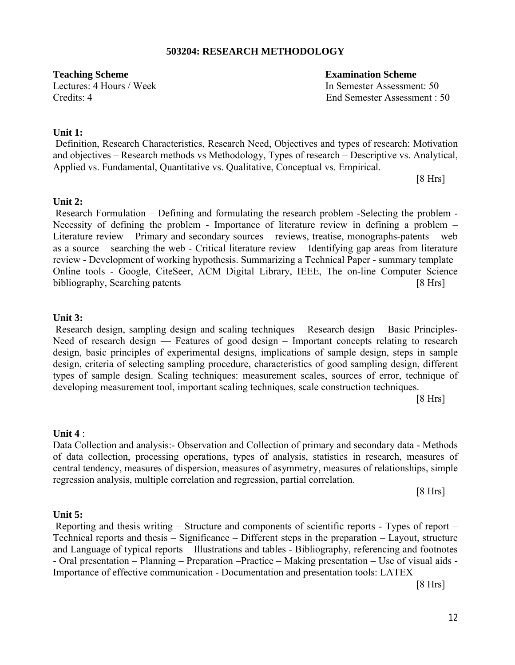#### **503204: RESEARCH METHODOLOGY**

**Teaching Scheme Examination Scheme** 

Lectures: 4 Hours / Week In Semester Assessment: 50 Credits: 4 End Semester Assessment : 50

#### **Unit 1:**

Definition, Research Characteristics, Research Need, Objectives and types of research: Motivation and objectives – Research methods vs Methodology, Types of research – Descriptive vs. Analytical, Applied vs. Fundamental, Quantitative vs. Qualitative, Conceptual vs. Empirical.

[8 Hrs]

#### **Unit 2:**

Research Formulation  $-$  Defining and formulating the research problem -Selecting the problem  $-$ Necessity of defining the problem - Importance of literature review in defining a problem – Literature review – Primary and secondary sources – reviews, treatise, monographs-patents – web as a source – searching the web - Critical literature review – Identifying gap areas from literature review - Development of working hypothesis. Summarizing a Technical Paper - summary template Online tools - Google, CiteSeer, ACM Digital Library, IEEE, The on-line Computer Science bibliography, Searching patents [8 Hrs]

#### **Unit 3:**

Research design, sampling design and scaling techniques – Research design – Basic Principles-Need of research design — Features of good design – Important concepts relating to research design, basic principles of experimental designs, implications of sample design, steps in sample design, criteria of selecting sampling procedure, characteristics of good sampling design, different types of sample design. Scaling techniques: measurement scales, sources of error, technique of developing measurement tool, important scaling techniques, scale construction techniques.

[8 Hrs]

#### **Unit 4** :

Data Collection and analysis:- Observation and Collection of primary and secondary data - Methods of data collection, processing operations, types of analysis, statistics in research, measures of central tendency, measures of dispersion, measures of asymmetry, measures of relationships, simple regression analysis, multiple correlation and regression, partial correlation.

[8 Hrs]

#### **Unit 5:**

Reporting and thesis writing – Structure and components of scientific reports - Types of report – Technical reports and thesis – Significance – Different steps in the preparation – Layout, structure and Language of typical reports – Illustrations and tables - Bibliography, referencing and footnotes - Oral presentation – Planning – Preparation –Practice – Making presentation – Use of visual aids - Importance of effective communication - Documentation and presentation tools: LATEX

[8 Hrs]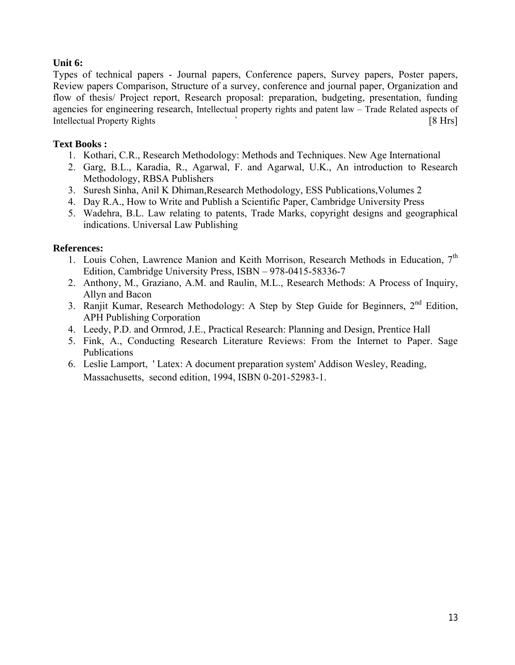# **Unit 6:**

Types of technical papers - Journal papers, Conference papers, Survey papers, Poster papers, Review papers Comparison, Structure of a survey, conference and journal paper, Organization and flow of thesis/ Project report, Research proposal: preparation, budgeting, presentation, funding agencies for engineering research, Intellectual property rights and patent law – Trade Related aspects of Intellectual Property Rights ` [8 Hrs]

### **Text Books :**

- 1. Kothari, C.R., Research Methodology: Methods and Techniques. New Age International
- 2. Garg, B.L., Karadia, R., Agarwal, F. and Agarwal, U.K., An introduction to Research Methodology, RBSA Publishers
- 3. Suresh Sinha, Anil K Dhiman,Research Methodology, ESS Publications,Volumes 2
- 4. Day R.A., How to Write and Publish a Scientific Paper, Cambridge University Press
- 5. Wadehra, B.L. Law relating to patents, Trade Marks, copyright designs and geographical indications. Universal Law Publishing

### **References:**

- 1. Louis Cohen, Lawrence Manion and Keith Morrison, Research Methods in Education, 7<sup>th</sup> Edition, Cambridge University Press, ISBN – 978-0415-58336-7
- 2. Anthony, M., Graziano, A.M. and Raulin, M.L., Research Methods: A Process of Inquiry, Allyn and Bacon
- 3. Ranjit Kumar, Research Methodology: A Step by Step Guide for Beginners, 2<sup>nd</sup> Edition, APH Publishing Corporation
- 4. Leedy, P.D. and Ormrod, J.E., Practical Research: Planning and Design, Prentice Hall
- 5. Fink, A., Conducting Research Literature Reviews: From the Internet to Paper. Sage Publications
- 6. Leslie Lamport, ' Latex: A document preparation system' Addison Wesley, Reading, Massachusetts, second edition, 1994, ISBN 0-201-52983-1.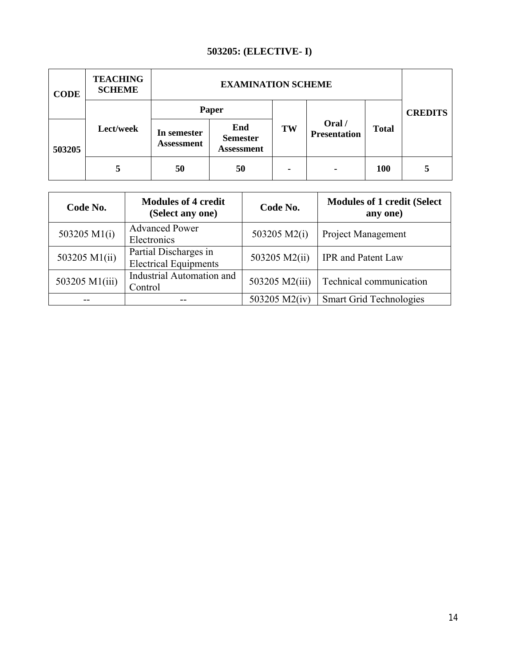# **503205: (ELECTIVE- I)**

| <b>CODE</b> | <b>TEACHING</b><br><b>SCHEME</b> |                           |                                             |    |                     |              |                |
|-------------|----------------------------------|---------------------------|---------------------------------------------|----|---------------------|--------------|----------------|
|             |                                  | Paper                     |                                             |    | Oral /              |              | <b>CREDITS</b> |
| 503205      | Lect/week                        | In semester<br>Assessment | End<br><b>Semester</b><br><b>Assessment</b> | TW | <b>Presentation</b> | <b>Total</b> |                |
|             |                                  | 50                        | 50                                          | ٠  | ۰                   | <b>100</b>   | 5              |

| Code No.       | <b>Modules of 4 credit</b><br>(Select any one)        | Code No.       | <b>Modules of 1 credit (Select</b><br>any one) |
|----------------|-------------------------------------------------------|----------------|------------------------------------------------|
| 503205 M1(i)   | <b>Advanced Power</b><br>Electronics                  | 503205 M2(i)   | Project Management                             |
| 503205 M1(ii)  | Partial Discharges in<br><b>Electrical Equipments</b> | 503205 M2(ii)  | IPR and Patent Law                             |
| 503205 M1(iii) | <b>Industrial Automation and</b><br>Control           | 503205 M2(iii) | Technical communication                        |
|                |                                                       | 503205 M2(iv)  | <b>Smart Grid Technologies</b>                 |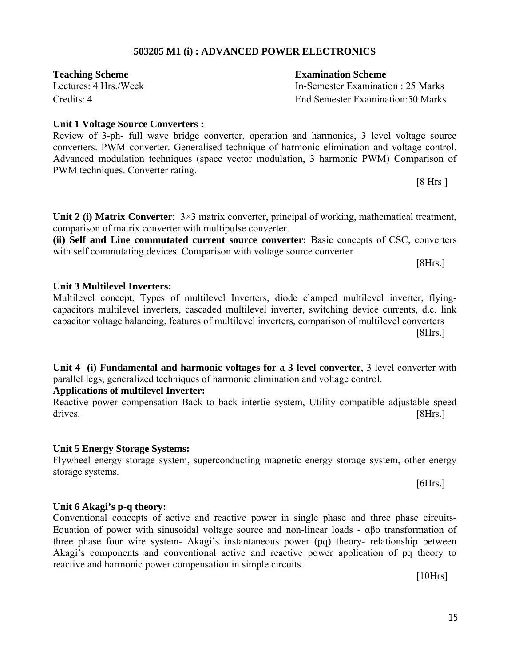#### **503205 M1 (i) : ADVANCED POWER ELECTRONICS**

**Teaching Scheme Examination Scheme**

Lectures: 4 Hrs./Week In-Semester Examination : 25 Marks Credits: 4 End Semester Examination:50 Marks

#### **Unit 1 Voltage Source Converters :**

Review of 3-ph- full wave bridge converter, operation and harmonics, 3 level voltage source converters. PWM converter. Generalised technique of harmonic elimination and voltage control. Advanced modulation techniques (space vector modulation, 3 harmonic PWM) Comparison of PWM techniques. Converter rating.

[8 Hrs ]

**Unit 2 (i) Matrix Converter**:  $3\times3$  matrix converter, principal of working, mathematical treatment, comparison of matrix converter with multipulse converter.

**(ii) Self and Line commutated current source converter:** Basic concepts of CSC, converters with self commutating devices. Comparison with voltage source converter

[8Hrs.]

#### **Unit 3 Multilevel Inverters:**

Multilevel concept, Types of multilevel Inverters, diode clamped multilevel inverter, flyingcapacitors multilevel inverters, cascaded multilevel inverter, switching device currents, d.c. link capacitor voltage balancing, features of multilevel inverters, comparison of multilevel converters  $[8Hrs.]$ 

**Unit 4 (i) Fundamental and harmonic voltages for a 3 level converter**, 3 level converter with parallel legs, generalized techniques of harmonic elimination and voltage control.

#### **Applications of multilevel Inverter:**

Reactive power compensation Back to back intertie system, Utility compatible adjustable speed drives. [8Hrs.]

#### **Unit 5 Energy Storage Systems:**

Flywheel energy storage system, superconducting magnetic energy storage system, other energy storage systems.

[6Hrs.]

#### **Unit 6 Akagi's p-q theory:**

Conventional concepts of active and reactive power in single phase and three phase circuits-Equation of power with sinusoidal voltage source and non-linear loads - αβo transformation of three phase four wire system- Akagi's instantaneous power (pq) theory- relationship between Akagi's components and conventional active and reactive power application of pq theory to reactive and harmonic power compensation in simple circuits.

[10Hrs]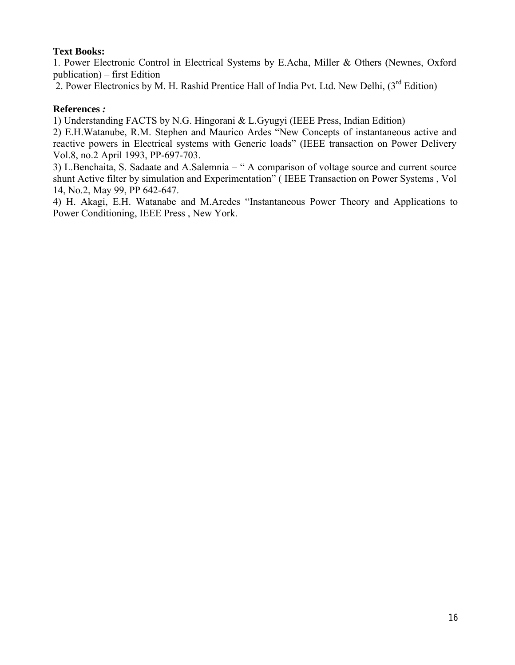#### **Text Books:**

1. Power Electronic Control in Electrical Systems by E.Acha, Miller & Others (Newnes, Oxford publication) – first Edition

2. Power Electronics by M. H. Rashid Prentice Hall of India Pvt. Ltd. New Delhi,  $3^{rd}$  Edition)

#### **References** *:*

1) Understanding FACTS by N.G. Hingorani & L.Gyugyi (IEEE Press, Indian Edition)

2) E.H.Watanube, R.M. Stephen and Maurico Ardes "New Concepts of instantaneous active and reactive powers in Electrical systems with Generic loads" (IEEE transaction on Power Delivery Vol.8, no.2 April 1993, PP-697-703.

3) L.Benchaita, S. Sadaate and A.Salemnia – " A comparison of voltage source and current source shunt Active filter by simulation and Experimentation" ( IEEE Transaction on Power Systems , Vol 14, No.2, May 99, PP 642-647.

4) H. Akagi, E.H. Watanabe and M.Aredes "Instantaneous Power Theory and Applications to Power Conditioning, IEEE Press , New York.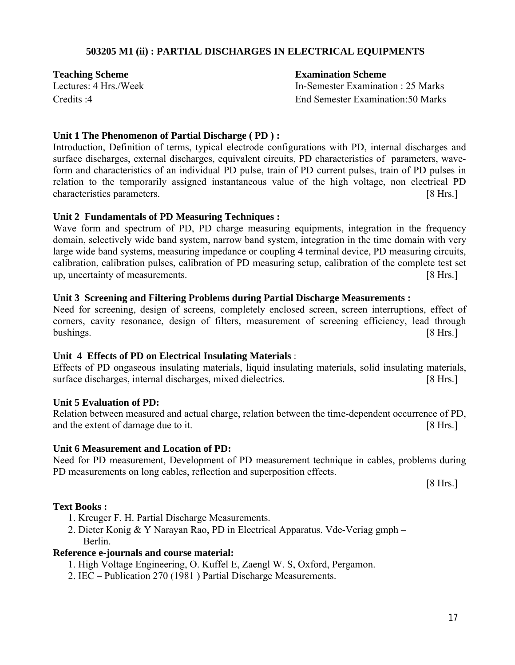#### **503205 M1 (ii) : PARTIAL DISCHARGES IN ELECTRICAL EQUIPMENTS**

#### **Teaching Scheme Examination Scheme**

Lectures: 4 Hrs./Week In-Semester Examination : 25 Marks Credits :4 End Semester Examination:50 Marks

#### **Unit 1 The Phenomenon of Partial Discharge ( PD ) :**

Introduction, Definition of terms, typical electrode configurations with PD, internal discharges and surface discharges, external discharges, equivalent circuits, PD characteristics of parameters, waveform and characteristics of an individual PD pulse, train of PD current pulses, train of PD pulses in relation to the temporarily assigned instantaneous value of the high voltage, non electrical PD characteristics parameters. [8 Hrs.]

#### **Unit 2 Fundamentals of PD Measuring Techniques :**

Wave form and spectrum of PD, PD charge measuring equipments, integration in the frequency domain, selectively wide band system, narrow band system, integration in the time domain with very large wide band systems, measuring impedance or coupling 4 terminal device, PD measuring circuits, calibration, calibration pulses, calibration of PD measuring setup, calibration of the complete test set up, uncertainty of measurements. **[8 Hrs.]** [8 Hrs.]

#### **Unit 3 Screening and Filtering Problems during Partial Discharge Measurements :**

Need for screening, design of screens, completely enclosed screen, screen interruptions, effect of corners, cavity resonance, design of filters, measurement of screening efficiency, lead through bushings. [8 Hrs.]

#### **Unit 4 Effects of PD on Electrical Insulating Materials** :

Effects of PD ongaseous insulating materials, liquid insulating materials, solid insulating materials, surface discharges, internal discharges, mixed dielectrics. [8 Hrs.]

#### **Unit 5 Evaluation of PD:**

Relation between measured and actual charge, relation between the time-dependent occurrence of PD, and the extent of damage due to it. [8 Hrs.]

#### **Unit 6 Measurement and Location of PD:**

Need for PD measurement, Development of PD measurement technique in cables, problems during PD measurements on long cables, reflection and superposition effects.

[8 Hrs.]

#### **Text Books :**

- 1. Kreuger F. H. Partial Discharge Measurements.
- 2. Dieter Konig & Y Narayan Rao, PD in Electrical Apparatus. Vde-Veriag gmph Berlin.

#### **Reference e-journals and course material:**

- 1. High Voltage Engineering, O. Kuffel E, Zaengl W. S, Oxford, Pergamon.
- 2. IEC Publication 270 (1981 ) Partial Discharge Measurements.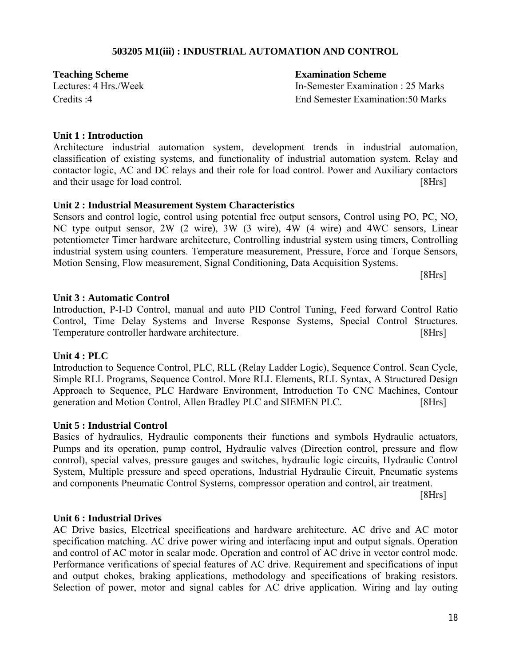#### **503205 M1(iii) : INDUSTRIAL AUTOMATION AND CONTROL**

**Teaching Scheme Examination Scheme**

Lectures: 4 Hrs./Week In-Semester Examination : 25 Marks Credits :4 End Semester Examination:50 Marks

#### **Unit 1 : Introduction**

Architecture industrial automation system, development trends in industrial automation, classification of existing systems, and functionality of industrial automation system. Relay and contactor logic, AC and DC relays and their role for load control. Power and Auxiliary contactors and their usage for load control. [8Hrs]

#### **Unit 2 : Industrial Measurement System Characteristics**

Sensors and control logic, control using potential free output sensors, Control using PO, PC, NO, NC type output sensor, 2W (2 wire), 3W (3 wire), 4W (4 wire) and 4WC sensors, Linear potentiometer Timer hardware architecture, Controlling industrial system using timers, Controlling industrial system using counters. Temperature measurement, Pressure, Force and Torque Sensors, Motion Sensing, Flow measurement, Signal Conditioning, Data Acquisition Systems.

[8Hrs]

#### **Unit 3 : Automatic Control**

Introduction, P-I-D Control, manual and auto PID Control Tuning, Feed forward Control Ratio Control, Time Delay Systems and Inverse Response Systems, Special Control Structures. Temperature controller hardware architecture. [8Hrs]

#### **Unit 4 : PLC**

Introduction to Sequence Control, PLC, RLL (Relay Ladder Logic), Sequence Control. Scan Cycle, Simple RLL Programs, Sequence Control. More RLL Elements, RLL Syntax, A Structured Design Approach to Sequence, PLC Hardware Environment, Introduction To CNC Machines, Contour generation and Motion Control, Allen Bradley PLC and SIEMEN PLC. [8Hrs]

#### **Unit 5 : Industrial Control**

Basics of hydraulics, Hydraulic components their functions and symbols Hydraulic actuators, Pumps and its operation, pump control, Hydraulic valves (Direction control, pressure and flow control), special valves, pressure gauges and switches, hydraulic logic circuits, Hydraulic Control System, Multiple pressure and speed operations, Industrial Hydraulic Circuit, Pneumatic systems and components Pneumatic Control Systems, compressor operation and control, air treatment.

[8Hrs]

#### **Unit 6 : Industrial Drives**

AC Drive basics, Electrical specifications and hardware architecture. AC drive and AC motor specification matching. AC drive power wiring and interfacing input and output signals. Operation and control of AC motor in scalar mode. Operation and control of AC drive in vector control mode. Performance verifications of special features of AC drive. Requirement and specifications of input and output chokes, braking applications, methodology and specifications of braking resistors. Selection of power, motor and signal cables for AC drive application. Wiring and lay outing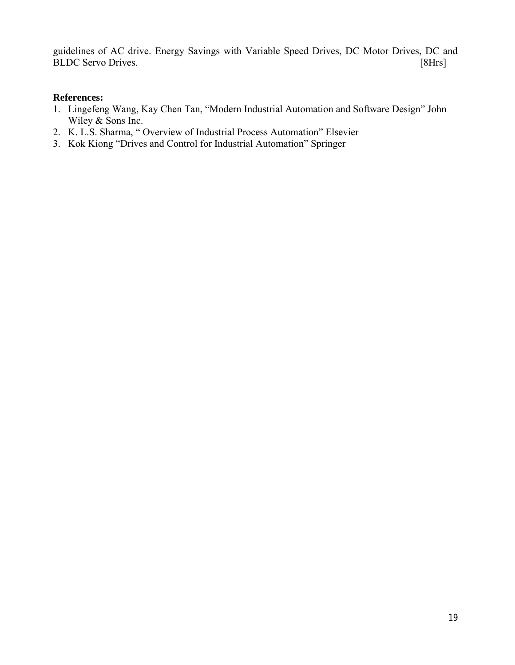guidelines of AC drive. Energy Savings with Variable Speed Drives, DC Motor Drives, DC and BLDC Servo Drives. [8Hrs]

#### **References:**

- 1. Lingefeng Wang, Kay Chen Tan, "Modern Industrial Automation and Software Design" John Wiley & Sons Inc.
- 2. K. L.S. Sharma, " Overview of Industrial Process Automation" Elsevier
- 3. Kok Kiong "Drives and Control for Industrial Automation" Springer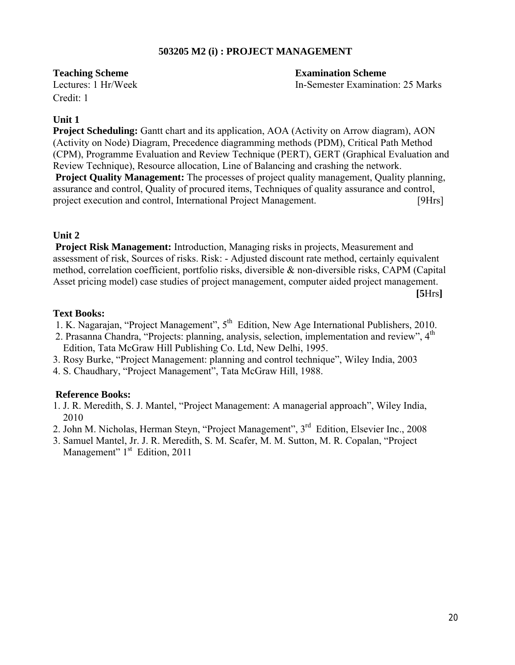#### **503205 M2 (i) : PROJECT MANAGEMENT**

**Teaching Scheme Examination Scheme**

Lectures: 1 Hr/Week In-Semester Examination: 25 Marks

Credit: 1

#### **Unit 1**

**Project Scheduling:** Gantt chart and its application, AOA (Activity on Arrow diagram), AON (Activity on Node) Diagram, Precedence diagramming methods (PDM), Critical Path Method (CPM), Programme Evaluation and Review Technique (PERT), GERT (Graphical Evaluation and Review Technique), Resource allocation, Line of Balancing and crashing the network.

**Project Quality Management:** The processes of project quality management, Quality planning, assurance and control, Quality of procured items, Techniques of quality assurance and control, project execution and control, International Project Management. [9Hrs]

# **Unit 2**

**Project Risk Management:** Introduction, Managing risks in projects, Measurement and assessment of risk, Sources of risks. Risk: - Adjusted discount rate method, certainly equivalent method, correlation coefficient, portfolio risks, diversible & non-diversible risks, CAPM (Capital Asset pricing model) case studies of project management, computer aided project management.

**[5**Hrs**]**

#### **Text Books:**

- 1. K. Nagarajan, "Project Management", 5th Edition, New Age International Publishers, 2010.
- 2. Prasanna Chandra, "Projects: planning, analysis, selection, implementation and review", 4<sup>th</sup> Edition, Tata McGraw Hill Publishing Co. Ltd, New Delhi, 1995.
- 3. Rosy Burke, "Project Management: planning and control technique", Wiley India, 2003
- 4. S. Chaudhary, "Project Management", Tata McGraw Hill, 1988.

#### **Reference Books:**

- 1. J. R. Meredith, S. J. Mantel, "Project Management: A managerial approach", Wiley India, 2010
- 2. John M. Nicholas, Herman Steyn, "Project Management", 3rd Edition, Elsevier Inc., 2008
- 3. Samuel Mantel, Jr. J. R. Meredith, S. M. Scafer, M. M. Sutton, M. R. Copalan, "Project Management" 1<sup>st</sup> Edition, 2011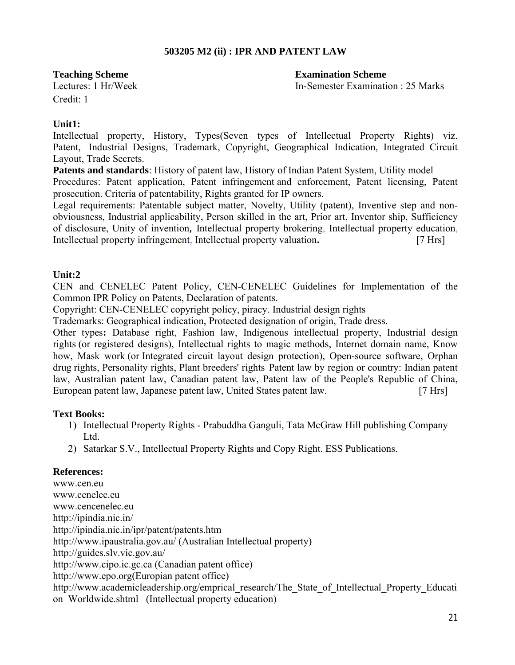### **503205 M2 (ii) : IPR AND PATENT LAW**

**Teaching Scheme Examination Scheme**

Lectures: 1 Hr/Week In-Semester Examination : 25 Marks

Credit: 1

#### **Unit1:**

Intellectual property, History, Types(Seven types of Intellectual Property Right**s**) viz. Patent, Industrial Designs, Trademark, Copyright, Geographical Indication, Integrated Circuit Layout, Trade Secrets.

**Patents and standards**: History of patent law, History of Indian Patent System, Utility model Procedures: Patent application, Patent infringement and enforcement, Patent licensing, Patent prosecution. Criteria of patentability, Rights granted for IP owners.

Legal requirements: Patentable subject matter, Novelty, Utility (patent), Inventive step and nonobviousness, Industrial applicability, Person skilled in the art, Prior art, Inventor ship, Sufficiency of disclosure, Unity of invention*,* Intellectual property brokering, Intellectual property education, Intellectual property infringement, Intellectual property valuation*.* [7 Hrs]

#### **Unit:2**

CEN and CENELEC Patent Policy, CEN-CENELEC Guidelines for Implementation of the Common IPR Policy on Patents, Declaration of patents.

Copyright: CEN-CENELEC copyright policy, piracy. Industrial design rights

Trademarks: Geographical indication, Protected designation of origin, Trade dress.

Other types**:** Database right, Fashion law, Indigenous intellectual property, Industrial design rights (or registered designs), Intellectual rights to magic methods, Internet domain name, Know how, Mask work (or Integrated circuit layout design protection), Open-source software, Orphan drug rights, Personality rights, Plant breeders' rights Patent law by region or country: Indian patent law, Australian patent law, Canadian patent law, Patent law of the People's Republic of China, European patent law, Japanese patent law, United States patent law. [7 Hrs]

#### **Text Books:**

- 1) Intellectual Property Rights Prabuddha Ganguli, Tata McGraw Hill publishing Company Ltd.
- 2) Satarkar S.V., Intellectual Property Rights and Copy Right. ESS Publications.

#### **References:**

www.cen.eu www.cenelec.eu www.cencenelec.eu http://ipindia.nic.in/ http://ipindia.nic.in/ipr/patent/patents.htm http://www.ipaustralia.gov.au/ (Australian Intellectual property) http://guides.slv.vic.gov.au/ http://www.cipo.ic.gc.ca (Canadian patent office) http://www.epo.org(Europian patent office) http://www.academicleadership.org/emprical\_research/The\_State\_of\_Intellectual\_Property\_Educati on\_Worldwide.shtml (Intellectual property education)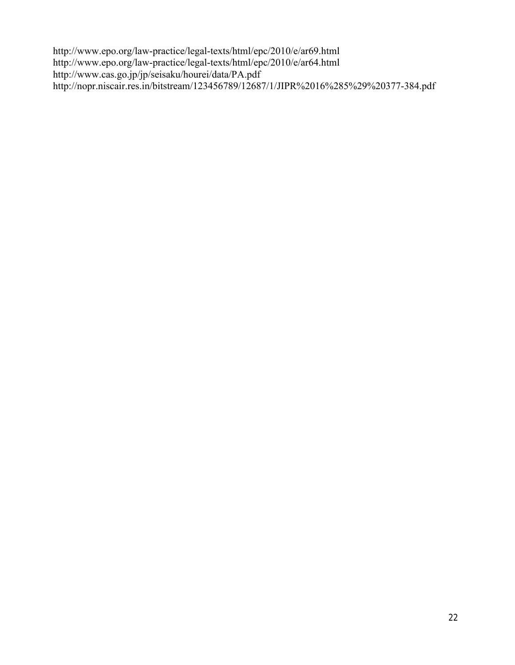http://www.epo.org/law-practice/legal-texts/html/epc/2010/e/ar69.html http://www.epo.org/law-practice/legal-texts/html/epc/2010/e/ar64.html http://www.cas.go.jp/jp/seisaku/hourei/data/PA.pdf http://nopr.niscair.res.in/bitstream/123456789/12687/1/JIPR%2016%285%29%20377-384.pdf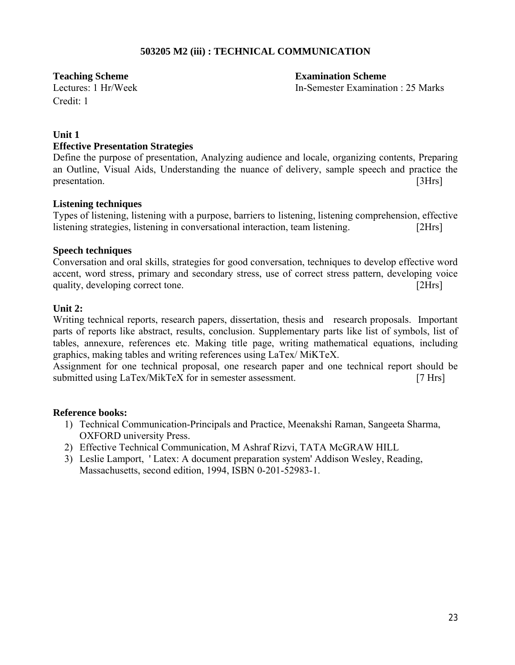#### **503205 M2 (iii) : TECHNICAL COMMUNICATION**

Credit: 1

**Teaching Scheme Examination Scheme** Lectures: 1 Hr/Week In-Semester Examination : 25 Marks

#### **Unit 1**

#### **Effective Presentation Strategies**

Define the purpose of presentation, Analyzing audience and locale, organizing contents, Preparing an Outline, Visual Aids, Understanding the nuance of delivery, sample speech and practice the presentation. [3Hrs]

#### **Listening techniques**

Types of listening, listening with a purpose, barriers to listening, listening comprehension, effective listening strategies, listening in conversational interaction, team listening. [2Hrs]

#### **Speech techniques**

Conversation and oral skills, strategies for good conversation, techniques to develop effective word accent, word stress, primary and secondary stress, use of correct stress pattern, developing voice quality, developing correct tone. [2Hrs]  $[2Hrs]$ 

#### **Unit 2:**

Writing technical reports, research papers, dissertation, thesis and research proposals. Important parts of reports like abstract, results, conclusion. Supplementary parts like list of symbols, list of tables, annexure, references etc. Making title page, writing mathematical equations, including graphics, making tables and writing references using LaTex/ MiKTeX.

Assignment for one technical proposal, one research paper and one technical report should be submitted using LaTex/MikTeX for in semester assessment. [7 Hrs]

#### **Reference books:**

- 1) Technical Communication-Principals and Practice, Meenakshi Raman, Sangeeta Sharma, OXFORD university Press.
- 2) Effective Technical Communication, M Ashraf Rizvi, TATA McGRAW HILL
- 3) Leslie Lamport, ' Latex: A document preparation system' Addison Wesley, Reading, Massachusetts, second edition, 1994, ISBN 0-201-52983-1.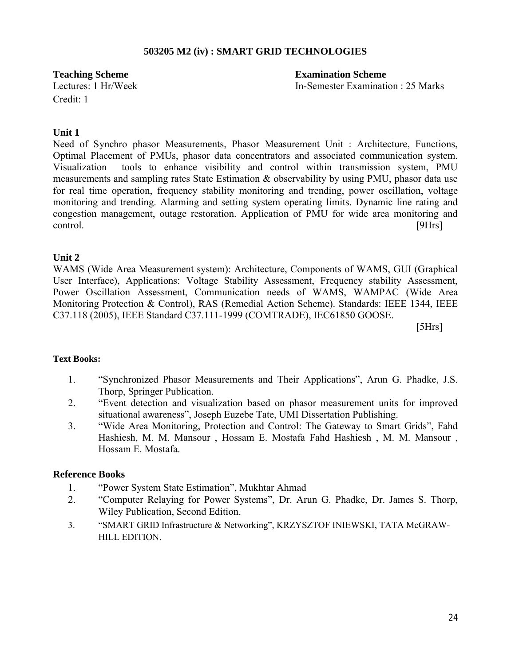#### **503205 M2 (iv) : SMART GRID TECHNOLOGIES**

Credit: 1

**Teaching Scheme Examination Scheme** Lectures: 1 Hr/Week In-Semester Examination : 25 Marks

#### **Unit 1**

Need of Synchro phasor Measurements, Phasor Measurement Unit : Architecture, Functions, Optimal Placement of PMUs, phasor data concentrators and associated communication system. Visualization tools to enhance visibility and control within transmission system, PMU measurements and sampling rates State Estimation  $\&$  observability by using PMU, phasor data use for real time operation, frequency stability monitoring and trending, power oscillation, voltage monitoring and trending. Alarming and setting system operating limits. Dynamic line rating and congestion management, outage restoration. Application of PMU for wide area monitoring and control. [9Hrs]

#### **Unit 2**

WAMS (Wide Area Measurement system): Architecture, Components of WAMS, GUI (Graphical User Interface), Applications: Voltage Stability Assessment, Frequency stability Assessment, Power Oscillation Assessment, Communication needs of WAMS, WAMPAC (Wide Area Monitoring Protection & Control), RAS (Remedial Action Scheme). Standards: IEEE 1344, IEEE C37.118 (2005), IEEE Standard C37.111-1999 (COMTRADE), IEC61850 GOOSE.

[5Hrs]

#### **Text Books:**

- 1. "Synchronized Phasor Measurements and Their Applications", Arun G. Phadke, J.S. Thorp, Springer Publication.
- 2. "Event detection and visualization based on phasor measurement units for improved situational awareness", Joseph Euzebe Tate, UMI Dissertation Publishing.
- 3. "Wide Area Monitoring, Protection and Control: The Gateway to Smart Grids", Fahd Hashiesh, M. M. Mansour , Hossam E. Mostafa Fahd Hashiesh , M. M. Mansour , Hossam E. Mostafa.

#### **Reference Books**

- 1. "Power System State Estimation", Mukhtar Ahmad
- 2. "Computer Relaying for Power Systems", Dr. Arun G. Phadke, Dr. James S. Thorp, Wiley Publication, Second Edition.
- 3. "SMART GRID Infrastructure & Networking", KRZYSZTOF INIEWSKI, TATA McGRAW-HILL EDITION.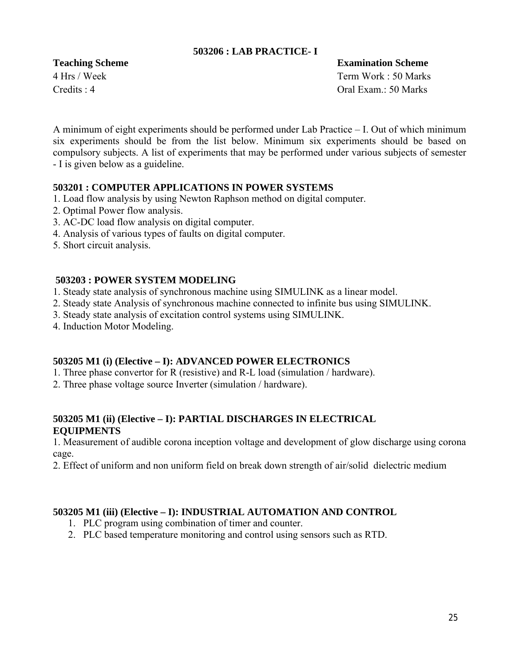#### **503206 : LAB PRACTICE- I**

**Teaching Scheme Examination Scheme**

4 Hrs / Week Term Work : 50 Marks Credits : 4 Oral Exam.: 50 Marks

A minimum of eight experiments should be performed under Lab Practice – I. Out of which minimum six experiments should be from the list below. Minimum six experiments should be based on compulsory subjects. A list of experiments that may be performed under various subjects of semester - I is given below as a guideline.

#### **503201 : COMPUTER APPLICATIONS IN POWER SYSTEMS**

- 1. Load flow analysis by using Newton Raphson method on digital computer.
- 2. Optimal Power flow analysis.
- 3. AC-DC load flow analysis on digital computer.
- 4. Analysis of various types of faults on digital computer.
- 5. Short circuit analysis.

#### **503203 : POWER SYSTEM MODELING**

- 1. Steady state analysis of synchronous machine using SIMULINK as a linear model.
- 2. Steady state Analysis of synchronous machine connected to infinite bus using SIMULINK.
- 3. Steady state analysis of excitation control systems using SIMULINK.
- 4. Induction Motor Modeling.

#### **503205 M1 (i) (Elective – I): ADVANCED POWER ELECTRONICS**

- 1. Three phase convertor for R (resistive) and R-L load (simulation / hardware).
- 2. Three phase voltage source Inverter (simulation / hardware).

#### **503205 M1 (ii) (Elective – I): PARTIAL DISCHARGES IN ELECTRICAL EQUIPMENTS**

1. Measurement of audible corona inception voltage and development of glow discharge using corona cage.

2. Effect of uniform and non uniform field on break down strength of air/solid dielectric medium

#### **503205 M1 (iii) (Elective – I): INDUSTRIAL AUTOMATION AND CONTROL**

- 1. PLC program using combination of timer and counter.
- 2. PLC based temperature monitoring and control using sensors such as RTD.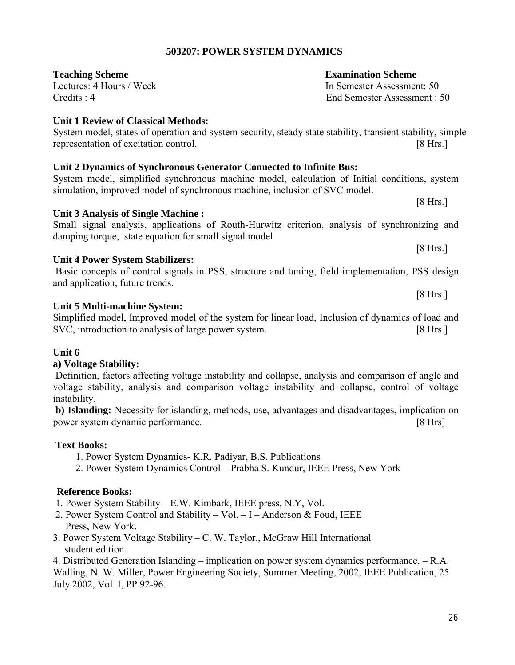# **503207: POWER SYSTEM DYNAMICS**

System model, states of operation and system security, steady state stability, transient stability, simple representation of excitation control. [8 Hrs.]

#### **Unit 1 Review of Classical Methods:**

# **Unit 2 Dynamics of Synchronous Generator Connected to Infinite Bus:**

# System model, simplified synchronous machine model, calculation of Initial conditions, system simulation, improved model of synchronous machine, inclusion of SVC model.

**Unit 3 Analysis of Single Machine :**  Small signal analysis, applications of Routh-Hurwitz criterion, analysis of synchronizing and damping torque, state equation for small signal model

#### **Unit 4 Power System Stabilizers:**

Basic concepts of control signals in PSS, structure and tuning, field implementation, PSS design and application, future trends.

#### **Unit 5 Multi-machine System:**

Simplified model, Improved model of the system for linear load, Inclusion of dynamics of load and SVC, introduction to analysis of large power system. [8 Hrs.]

#### **Unit 6**

#### **a) Voltage Stability:**

Definition, factors affecting voltage instability and collapse, analysis and comparison of angle and voltage stability, analysis and comparison voltage instability and collapse, control of voltage instability.

**b) Islanding:** Necessity for islanding, methods, use, advantages and disadvantages, implication on power system dynamic performance. [8 Hrs]

#### **Text Books:**

- 1. Power System Dynamics- K.R. Padiyar, B.S. Publications
- 2. Power System Dynamics Control Prabha S. Kundur, IEEE Press, New York

#### **Reference Books:**

- 1. Power System Stability E.W. Kimbark, IEEE press, N.Y, Vol.
- 2. Power System Control and Stability Vol. I Anderson & Foud, IEEE Press, New York.
- 3. Power System Voltage Stability C. W. Taylor., McGraw Hill International student edition.

4. Distributed Generation Islanding – implication on power system dynamics performance. – R.A. Walling, N. W. Miller, Power Engineering Society, Summer Meeting, 2002, IEEE Publication, 25 July 2002, Vol. I, PP 92-96.

#### **Teaching Scheme Examination Scheme**

Lectures: 4 Hours / Week In Semester Assessment: 50 Credits : 4 End Semester Assessment : 50

[8 Hrs.]

[8 Hrs.]

[8 Hrs.]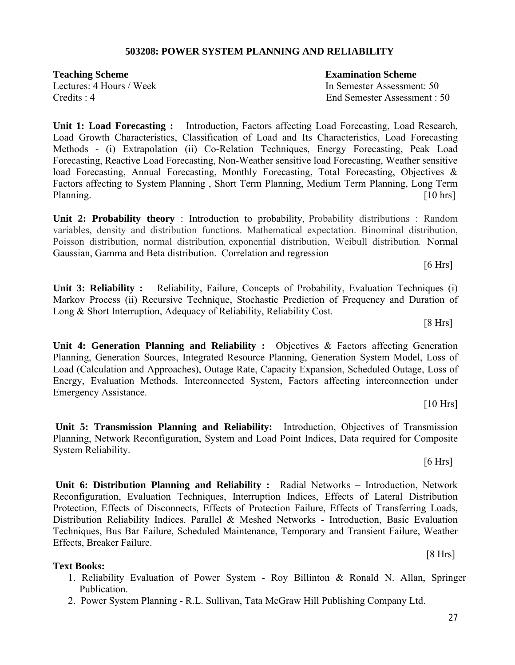#### **503208: POWER SYSTEM PLANNING AND RELIABILITY**

**Teaching Scheme Examination Scheme**  Credits : 4 End Semester Assessment : 50

Lectures: 4 Hours / Week In Semester Assessment: 50

**Unit 1: Load Forecasting :** Introduction, Factors affecting Load Forecasting, Load Research, Load Growth Characteristics, Classification of Load and Its Characteristics, Load Forecasting Methods - (i) Extrapolation (ii) Co-Relation Techniques, Energy Forecasting, Peak Load Forecasting, Reactive Load Forecasting, Non-Weather sensitive load Forecasting, Weather sensitive load Forecasting, Annual Forecasting, Monthly Forecasting, Total Forecasting, Objectives & Factors affecting to System Planning , Short Term Planning, Medium Term Planning, Long Term Planning. [10 hrs]

**Unit 2: Probability theory** : Introduction to probability, Probability distributions : Random variables, density and distribution functions. Mathematical expectation. Binominal distribution, Poisson distribution, normal distribution, exponential distribution, Weibull distribution. Normal Gaussian, Gamma and Beta distribution. Correlation and regression

 $[6 Hrs]$ 

**Unit 3: Reliability :** Reliability, Failure, Concepts of Probability, Evaluation Techniques (i) Markov Process (ii) Recursive Technique, Stochastic Prediction of Frequency and Duration of Long & Short Interruption, Adequacy of Reliability, Reliability Cost.

[8 Hrs]

Unit 4: Generation Planning and Reliability : Objectives & Factors affecting Generation Planning, Generation Sources, Integrated Resource Planning, Generation System Model, Loss of Load (Calculation and Approaches), Outage Rate, Capacity Expansion, Scheduled Outage, Loss of Energy, Evaluation Methods. Interconnected System, Factors affecting interconnection under Emergency Assistance.

[10 Hrs]

 $[6 Hrs]$ 

**Unit 5: Transmission Planning and Reliability:** Introduction, Objectives of Transmission Planning, Network Reconfiguration, System and Load Point Indices, Data required for Composite System Reliability.

**Unit 6: Distribution Planning and Reliability :** Radial Networks – Introduction, Network Reconfiguration, Evaluation Techniques, Interruption Indices, Effects of Lateral Distribution Protection, Effects of Disconnects, Effects of Protection Failure, Effects of Transferring Loads, Distribution Reliability Indices. Parallel & Meshed Networks - Introduction, Basic Evaluation Techniques, Bus Bar Failure, Scheduled Maintenance, Temporary and Transient Failure, Weather Effects, Breaker Failure.

#### **Text Books:**

- 1. Reliability Evaluation of Power System Roy Billinton & Ronald N. Allan, Springer Publication.
- 2. Power System Planning R.L. Sullivan, Tata McGraw Hill Publishing Company Ltd.

[8 Hrs]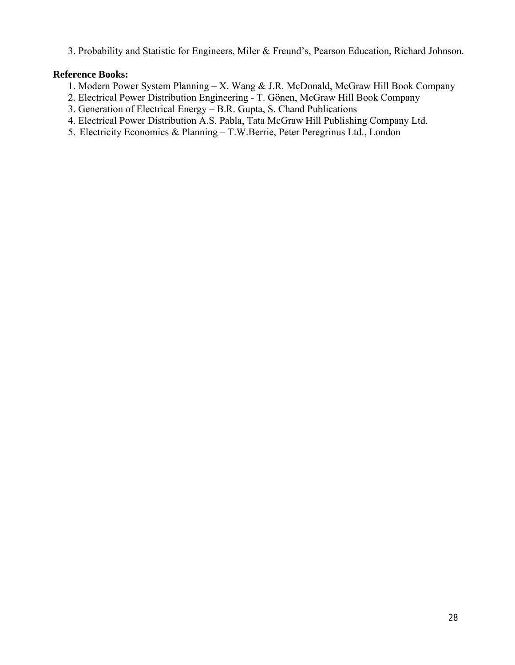3. Probability and Statistic for Engineers, Miler & Freund's, Pearson Education, Richard Johnson.

#### **Reference Books:**

- 1. Modern Power System Planning X. Wang & J.R. McDonald, McGraw Hill Book Company
- 2. Electrical Power Distribution Engineering T. Gönen, McGraw Hill Book Company
- 3. Generation of Electrical Energy B.R. Gupta, S. Chand Publications
- 4. Electrical Power Distribution A.S. Pabla, Tata McGraw Hill Publishing Company Ltd.
- 5. Electricity Economics & Planning T.W.Berrie, Peter Peregrinus Ltd., London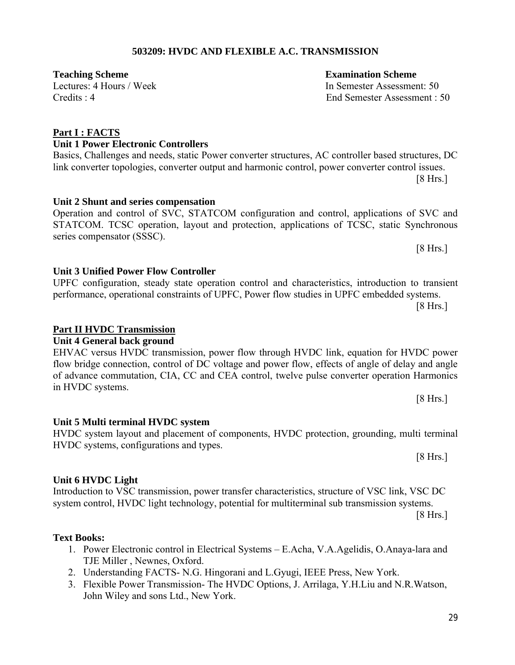# **503209: HVDC AND FLEXIBLE A.C. TRANSMISSION**

link converter topologies, converter output and harmonic control, power converter control issues.

STATCOM. TCSC operation, layout and protection, applications of TCSC, static Synchronous

performance, operational constraints of UPFC, Power flow studies in UPFC embedded systems.

EHVAC versus HVDC transmission, power flow through HVDC link, equation for HVDC power flow bridge connection, control of DC voltage and power flow, effects of angle of delay and angle of advance commutation, CIA, CC and CEA control, twelve pulse converter operation Harmonics

# Credits : 4 End Semester Assessment : 50

# **Part I : FACTS**

#### **Unit 1 Power Electronic Controllers** Basics, Challenges and needs, static Power converter structures, AC controller based structures, DC

#### **Unit 2 Shunt and series compensation** Operation and control of SVC, STATCOM configuration and control, applications of SVC and

#### **Unit 3 Unified Power Flow Controller**  UPFC configuration, steady state operation control and characteristics, introduction to transient

# **Part II HVDC Transmission**

series compensator (SSSC).

# **Unit 4 General back ground**

# in HVDC systems. **Unit 5 Multi terminal HVDC system**

# HVDC system layout and placement of components, HVDC protection, grounding, multi terminal

HVDC systems, configurations and types.

# **Unit 6 HVDC Light**

# Introduction to VSC transmission, power transfer characteristics, structure of VSC link, VSC DC system control, HVDC light technology, potential for multiterminal sub transmission systems.

[8 Hrs.]

#### **Text Books:**

- 1. Power Electronic control in Electrical Systems E.Acha, V.A.Agelidis, O.Anaya-lara and TJE Miller , Newnes, Oxford.
- 2. Understanding FACTS- N.G. Hingorani and L.Gyugi, IEEE Press, New York.
- 3. Flexible Power Transmission- The HVDC Options, J. Arrilaga, Y.H.Liu and N.R.Watson, John Wiley and sons Ltd., New York.

**Teaching Scheme Examination Scheme**  Lectures: 4 Hours / Week In Semester Assessment: 50

[8 Hrs.]

 $[8 Hrs.]$ 

[8 Hrs.]

[8 Hrs.]

[8 Hrs.]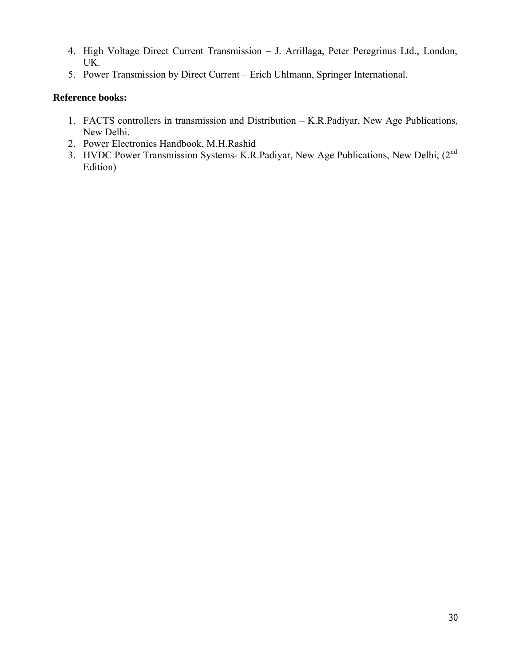- 4. High Voltage Direct Current Transmission J. Arrillaga, Peter Peregrinus Ltd., London, UK.
- 5. Power Transmission by Direct Current Erich Uhlmann, Springer International.

#### **Reference books:**

- 1. FACTS controllers in transmission and Distribution K.R.Padiyar, New Age Publications, New Delhi.
- 2. Power Electronics Handbook, M.H.Rashid
- 3. HVDC Power Transmission Systems- K.R.Padiyar, New Age Publications, New Delhi, (2nd Edition)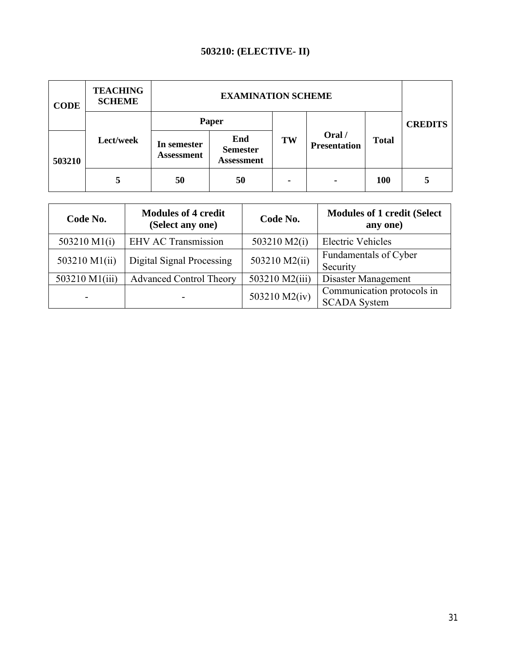# **503210: (ELECTIVE- II)**

| <b>CODE</b> | <b>TEACHING</b><br><b>SCHEME</b> |                           |                                             |    |                               |              |
|-------------|----------------------------------|---------------------------|---------------------------------------------|----|-------------------------------|--------------|
|             | Lect/week                        | Paper                     |                                             |    |                               |              |
| 503210      |                                  | In semester<br>Assessment | End<br><b>Semester</b><br><b>Assessment</b> | TW | Oral /<br><b>Presentation</b> | <b>Total</b> |
|             |                                  | 50                        | 50                                          | ۰  |                               | <b>100</b>   |

| Code No.       | <b>Modules of 4 credit</b><br>(Select any one) | Code No.       | <b>Modules of 1 credit (Select</b><br>any one)    |  |
|----------------|------------------------------------------------|----------------|---------------------------------------------------|--|
| 503210 M1(i)   | <b>EHV AC Transmission</b>                     | 503210 M2(i)   | <b>Electric Vehicles</b>                          |  |
| 503210 M1(ii)  | Digital Signal Processing                      | 503210 M2(ii)  | Fundamentals of Cyber<br>Security                 |  |
| 503210 M1(iii) | <b>Advanced Control Theory</b>                 | 503210 M2(iii) | Disaster Management                               |  |
|                |                                                | 503210 M2(iv)  | Communication protocols in<br><b>SCADA System</b> |  |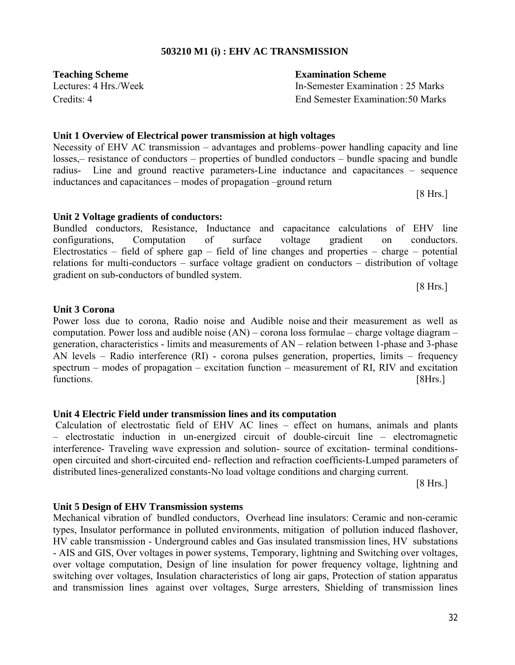# **503210 M1 (i) : EHV AC TRANSMISSION**

Lectures: 4 Hrs./Week In-Semester Examination : 25 Marks Credits: 4 End Semester Examination:50 Marks

#### **Unit 1 Overview of Electrical power transmission at high voltages**

Necessity of EHV AC transmission – advantages and problems–power handling capacity and line losses,– resistance of conductors – properties of bundled conductors – bundle spacing and bundle radius- Line and ground reactive parameters-Line inductance and capacitances – sequence inductances and capacitances – modes of propagation –ground return

configurations, Computation of surface voltage gradient on conductors. Electrostatics – field of sphere gap – field of line changes and properties – charge – potential relations for multi-conductors – surface voltage gradient on conductors – distribution of voltage

[8 Hrs.]

[8 Hrs.]

#### **Unit 3 Corona**

Power loss due to corona, Radio noise and Audible noise and their measurement as well as computation. Power loss and audible noise (AN) – corona loss formulae – charge voltage diagram – generation, characteristics - limits and measurements of AN – relation between 1-phase and 3-phase AN levels – Radio interference (RI) - corona pulses generation, properties, limits – frequency spectrum – modes of propagation – excitation function – measurement of RI, RIV and excitation functions. [8Hrs.]

#### **Unit 4 Electric Field under transmission lines and its computation**

Calculation of electrostatic field of EHV AC lines – effect on humans, animals and plants – electrostatic induction in un-energized circuit of double-circuit line – electromagnetic interference- Traveling wave expression and solution- source of excitation- terminal conditionsopen circuited and short-circuited end- reflection and refraction coefficients-Lumped parameters of distributed lines-generalized constants-No load voltage conditions and charging current.

[8 Hrs.]

#### **Unit 5 Design of EHV Transmission systems**

Mechanical vibration of bundled conductors, Overhead line insulators: Ceramic and non-ceramic types, Insulator performance in polluted environments, mitigation of pollution induced flashover, HV cable transmission - Underground cables and Gas insulated transmission lines, HV substations - AIS and GIS, Over voltages in power systems, Temporary, lightning and Switching over voltages, over voltage computation, Design of line insulation for power frequency voltage, lightning and switching over voltages, Insulation characteristics of long air gaps, Protection of station apparatus and transmission lines against over voltages, Surge arresters, Shielding of transmission lines

# **Teaching Scheme Examination Scheme**

**Unit 2 Voltage gradients of conductors:** 

gradient on sub-conductors of bundled system.

Bundled conductors, Resistance, Inductance and capacitance calculations of EHV line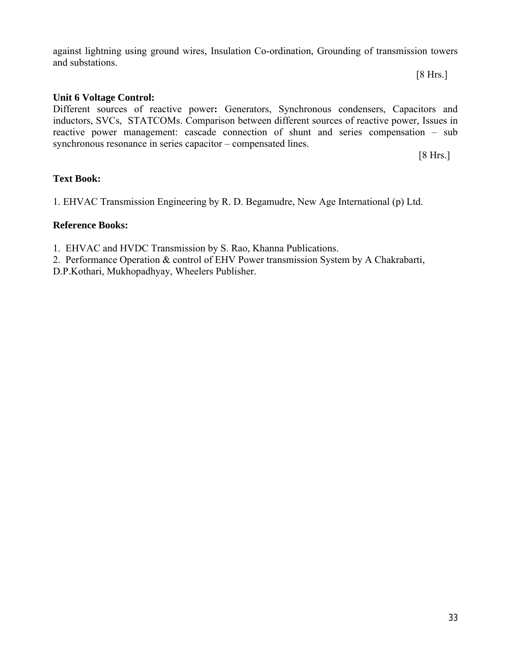against lightning using ground wires, Insulation Co-ordination, Grounding of transmission towers and substations.

#### **Unit 6 Voltage Control:**

Different sources of reactive power**:** Generators, Synchronous condensers, Capacitors and inductors, SVCs, STATCOMs. Comparison between different sources of reactive power, Issues in reactive power management: cascade connection of shunt and series compensation – sub synchronous resonance in series capacitor – compensated lines.

[8 Hrs.]

[8 Hrs.]

#### **Text Book:**

1. EHVAC Transmission Engineering by R. D. Begamudre, New Age International (p) Ltd.

#### **Reference Books:**

1. EHVAC and HVDC Transmission by S. Rao, Khanna Publications.

2. Performance Operation & control of EHV Power transmission System by A Chakrabarti,

D.P.Kothari, Mukhopadhyay, Wheelers Publisher.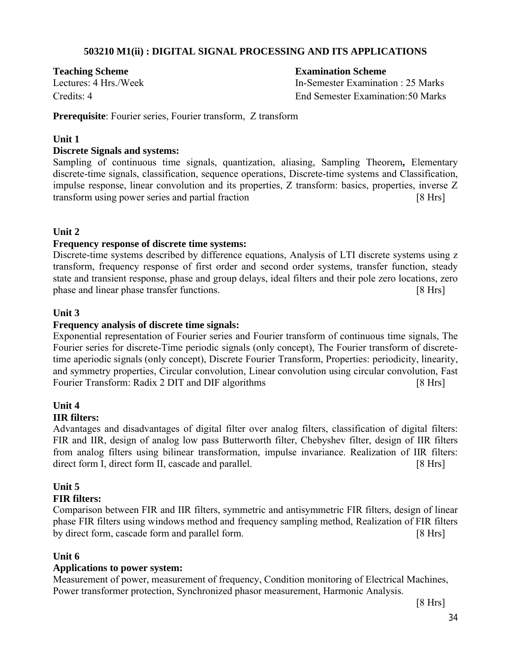#### **503210 M1(ii) : DIGITAL SIGNAL PROCESSING AND ITS APPLICATIONS**

**Teaching Scheme Examination Scheme**

Lectures: 4 Hrs./Week In-Semester Examination : 25 Marks Credits: 4 End Semester Examination:50 Marks

**Prerequisite**: Fourier series, Fourier transform, Z transform

#### **Unit 1**

#### **Discrete Signals and systems:**

Sampling of continuous time signals, quantization, aliasing, Sampling Theorem**,** Elementary discrete-time signals, classification, sequence operations, Discrete-time systems and Classification, impulse response, linear convolution and its properties, Z transform: basics, properties, inverse Z transform using power series and partial fraction [8 Hrs]

#### **Unit 2**

#### **Frequency response of discrete time systems:**

Discrete-time systems described by difference equations, Analysis of LTI discrete systems using z transform, frequency response of first order and second order systems, transfer function, steady state and transient response, phase and group delays, ideal filters and their pole zero locations, zero phase and linear phase transfer functions. The same state of the state of  $\lceil 8 \rceil$  Hrs

#### **Unit 3**

#### **Frequency analysis of discrete time signals:**

Exponential representation of Fourier series and Fourier transform of continuous time signals, The Fourier series for discrete-Time periodic signals (only concept), The Fourier transform of discretetime aperiodic signals (only concept), Discrete Fourier Transform, Properties: periodicity, linearity, and symmetry properties, Circular convolution, Linear convolution using circular convolution, Fast Fourier Transform: Radix 2 DIT and DIF algorithms [8 Hrs]

# **Unit 4**

#### **IIR filters:**

Advantages and disadvantages of digital filter over analog filters, classification of digital filters: FIR and IIR, design of analog low pass Butterworth filter, Chebyshev filter, design of IIR filters from analog filters using bilinear transformation, impulse invariance. Realization of IIR filters: direct form I, direct form II, cascade and parallel. [8 Hrs]

# **Unit 5**

#### **FIR filters:**

Comparison between FIR and IIR filters, symmetric and antisymmetric FIR filters, design of linear phase FIR filters using windows method and frequency sampling method, Realization of FIR filters by direct form, cascade form and parallel form. [8 Hrs]

#### **Unit 6**

#### **Applications to power system:**

Measurement of power, measurement of frequency, Condition monitoring of Electrical Machines, Power transformer protection, Synchronized phasor measurement, Harmonic Analysis.

[8 Hrs]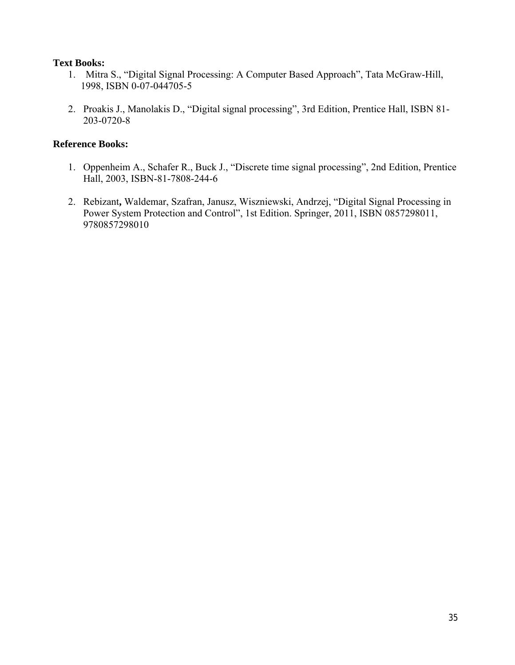#### **Text Books:**

- 1. Mitra S., "Digital Signal Processing: A Computer Based Approach", Tata McGraw-Hill, 1998, ISBN 0-07-044705-5
- 2. Proakis J., Manolakis D., "Digital signal processing", 3rd Edition, Prentice Hall, ISBN 81- 203-0720-8

#### **Reference Books:**

- 1. Oppenheim A., Schafer R., Buck J., "Discrete time signal processing", 2nd Edition, Prentice Hall, 2003, ISBN-81-7808-244-6
- 2. Rebizant**,** Waldemar, Szafran, Janusz, Wiszniewski, Andrzej, "Digital Signal Processing in Power System Protection and Control", 1st Edition. Springer, 2011, ISBN 0857298011, 9780857298010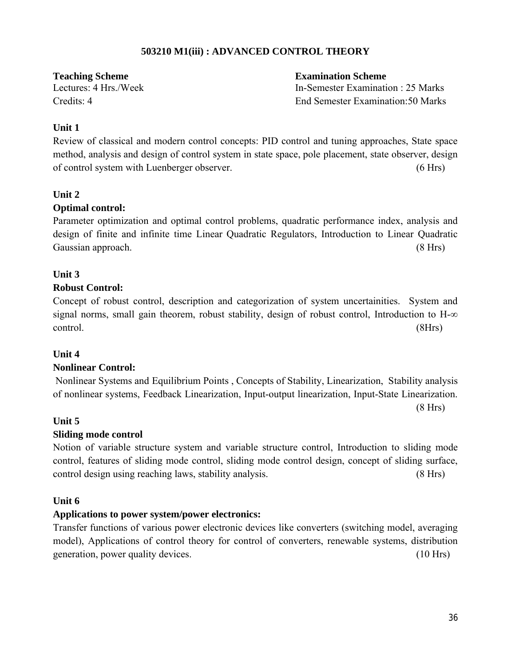### **503210 M1(iii) : ADVANCED CONTROL THEORY**

**Teaching Scheme Examination Scheme**

Lectures: 4 Hrs./Week In-Semester Examination : 25 Marks Credits: 4 End Semester Examination:50 Marks

#### **Unit 1**

Review of classical and modern control concepts: PID control and tuning approaches, State space method, analysis and design of control system in state space, pole placement, state observer, design of control system with Luenberger observer.(6 Hrs)

#### **Unit 2**

#### **Optimal control:**

Parameter optimization and optimal control problems, quadratic performance index, analysis and design of finite and infinite time Linear Quadratic Regulators, Introduction to Linear Quadratic Gaussian approach. (8 Hrs) (8 Hrs)

#### **Unit 3**

#### **Robust Control:**

Concept of robust control, description and categorization of system uncertainities. System and signal norms, small gain theorem, robust stability, design of robust control, Introduction to  $H-\infty$ control. (8Hrs)

#### **Unit 4**

#### **Nonlinear Control:**

Nonlinear Systems and Equilibrium Points , Concepts of Stability, Linearization, Stability analysis of nonlinear systems, Feedback Linearization, Input-output linearization, Input-State Linearization.

(8 Hrs)

#### **Unit 5**

#### **Sliding mode control**

Notion of variable structure system and variable structure control, Introduction to sliding mode control, features of sliding mode control, sliding mode control design, concept of sliding surface, control design using reaching laws, stability analysis. (8 Hrs)

#### **Unit 6**

#### **Applications to power system/power electronics:**

Transfer functions of various power electronic devices like converters (switching model, averaging model), Applications of control theory for control of converters, renewable systems, distribution generation, power quality devices. (10 Hrs)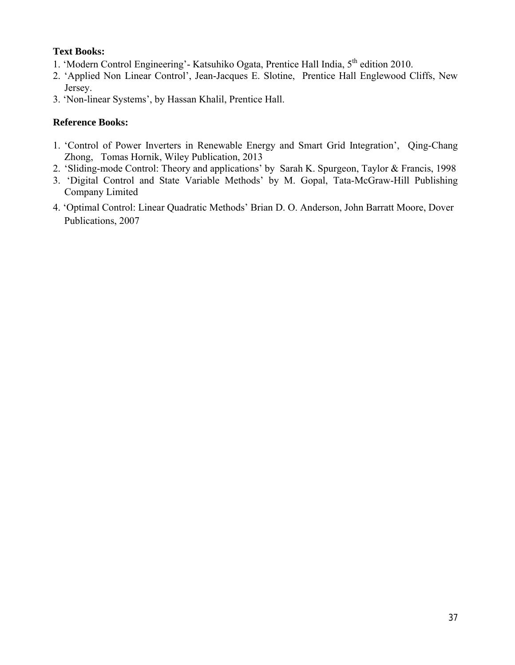### **Text Books:**

- 1. 'Modern Control Engineering'- Katsuhiko Ogata, Prentice Hall India, 5<sup>th</sup> edition 2010.
- 2. 'Applied Non Linear Control', Jean-Jacques E. Slotine, Prentice Hall Englewood Cliffs, New Jersey.
- 3. 'Non-linear Systems', by Hassan Khalil, Prentice Hall.

# **Reference Books:**

- 1. 'Control of Power Inverters in Renewable Energy and Smart Grid Integration', Qing-Chang Zhong, Tomas Hornik, Wiley Publication, 2013
- 2. 'Sliding-mode Control: Theory and applications' by Sarah K. Spurgeon, Taylor & Francis, 1998
- 3. 'Digital Control and State Variable Methods' by M. Gopal, Tata-McGraw-Hill Publishing Company Limited
- 4. 'Optimal Control: Linear Quadratic Methods' Brian D. O. Anderson, John Barratt Moore, Dover Publications, 2007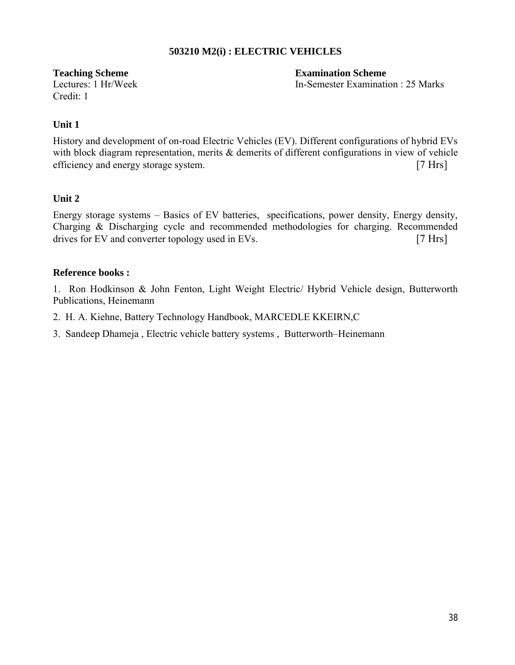#### **503210 M2(i) : ELECTRIC VEHICLES**

Credit: 1

**Teaching Scheme Examination Scheme** Lectures: 1 Hr/Week In-Semester Examination : 25 Marks

#### **Unit 1**

History and development of on-road Electric Vehicles (EV). Different configurations of hybrid EVs with block diagram representation, merits & demerits of different configurations in view of vehicle efficiency and energy storage system. [7 Hrs]

#### **Unit 2**

Energy storage systems – Basics of EV batteries, specifications, power density, Energy density, Charging & Discharging cycle and recommended methodologies for charging. Recommended drives for EV and converter topology used in EVs. [7 Hrs]

#### **Reference books :**

1. Ron Hodkinson & John Fenton, Light Weight Electric/ Hybrid Vehicle design, Butterworth Publications, Heinemann

- 2. H. A. Kiehne, Battery Technology Handbook, MARCEDLE KKEIRN,C
- 3. Sandeep Dhameja , Electric vehicle battery systems , Butterworth–Heinemann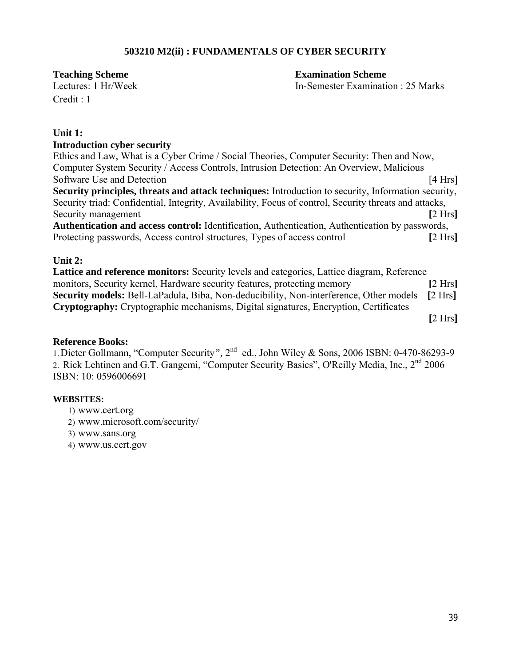#### **503210 M2(ii) : FUNDAMENTALS OF CYBER SECURITY**

Credit : 1

**Teaching Scheme Examination Scheme** 

Lectures: 1 Hr/Week In-Semester Examination : 25 Marks

#### **Unit 1:**

#### **Introduction cyber security**

Ethics and Law, What is a Cyber Crime / Social Theories, Computer Security: Then and Now, Computer System Security / Access Controls, Intrusion Detection: An Overview, Malicious Software Use and Detection **contained 14** Hrs **Security principles, threats and attack techniques:** Introduction to security, Information security, Security triad: Confidential, Integrity, Availability, Focus of control, Security threats and attacks, Security management **[2 Hrs**] **Authentication and access control:** Identification, Authentication, Authentication by passwords, Protecting passwords, Access control structures, Types of access control **[**2 Hrs**]**

#### **Unit 2:**

**Lattice and reference monitors:** Security levels and categories, Lattice diagram, Reference monitors, Security kernel, Hardware security features, protecting memory **[**2 Hrs**] Security models:** Bell-LaPadula, Biba, Non-deducibility, Non-interference, Other models **[**2 Hrs**] Cryptography:** Cryptographic mechanisms, Digital signatures, Encryption, Certificates

**[**2 Hrs**]**

#### **Reference Books:**

1.Dieter Gollmann, "Computer Security*",* 2nd ed., John Wiley & Sons, 2006 ISBN: 0-470-86293-9 2. Rick Lehtinen and G.T. Gangemi, "Computer Security Basics", O'Reilly Media, Inc., 2<sup>nd</sup> 2006 ISBN: 10: 0596006691

#### **WEBSITES:**

- 1) www.cert.org
- 2) www.microsoft.com/security/
- 3) www.sans.org
- 4) www.us.cert.gov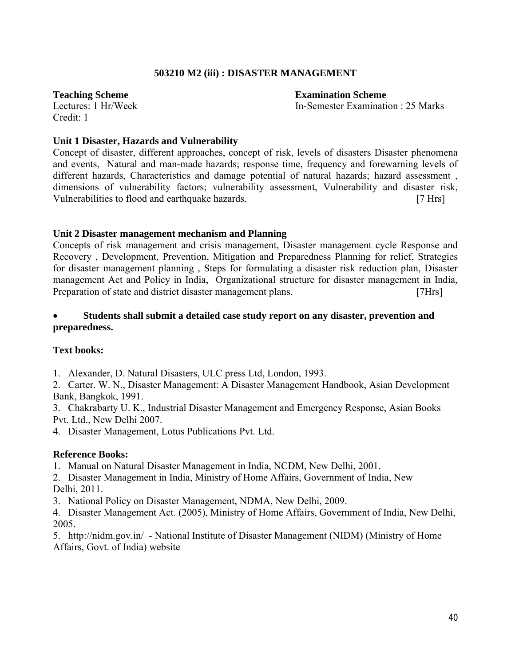#### **503210 M2 (iii) : DISASTER MANAGEMENT**

Credit: 1

**Teaching Scheme Examination Scheme** Lectures: 1 Hr/Week In-Semester Examination : 25 Marks

#### **Unit 1 Disaster, Hazards and Vulnerability**

Concept of disaster, different approaches, concept of risk, levels of disasters Disaster phenomena and events, Natural and man-made hazards; response time, frequency and forewarning levels of different hazards, Characteristics and damage potential of natural hazards; hazard assessment , dimensions of vulnerability factors; vulnerability assessment, Vulnerability and disaster risk, Vulnerabilities to flood and earthquake hazards. [7 Hrs]

#### **Unit 2 Disaster management mechanism and Planning**

Concepts of risk management and crisis management, Disaster management cycle Response and Recovery , Development, Prevention, Mitigation and Preparedness Planning for relief, Strategies for disaster management planning , Steps for formulating a disaster risk reduction plan, Disaster management Act and Policy in India, Organizational structure for disaster management in India, Preparation of state and district disaster management plans. [7Hrs]

#### **Students shall submit a detailed case study report on any disaster, prevention and preparedness.**

#### **Text books:**

1. Alexander, D. Natural Disasters, ULC press Ltd, London, 1993.

2. Carter. W. N., Disaster Management: A Disaster Management Handbook, Asian Development Bank, Bangkok, 1991.

3. Chakrabarty U. K., Industrial Disaster Management and Emergency Response, Asian Books Pvt. Ltd., New Delhi 2007.

4. Disaster Management, Lotus Publications Pvt. Ltd.

#### **Reference Books:**

1. Manual on Natural Disaster Management in India, NCDM, New Delhi, 2001.

2. Disaster Management in India, Ministry of Home Affairs, Government of India, New Delhi, 2011.

3. National Policy on Disaster Management, NDMA, New Delhi, 2009.

4. Disaster Management Act. (2005), Ministry of Home Affairs, Government of India, New Delhi, 2005.

5. http://nidm.gov.in/ - National Institute of Disaster Management (NIDM) (Ministry of Home Affairs, Govt. of India) website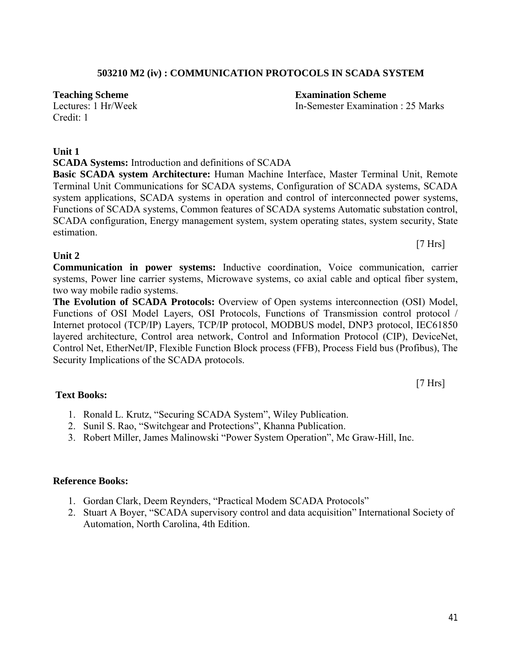# **503210 M2 (iv) : COMMUNICATION PROTOCOLS IN SCADA SYSTEM**

**Teaching Scheme Examination Scheme**

Credit: 1

# **Unit 1**

**SCADA Systems:** Introduction and definitions of SCADA

**Basic SCADA system Architecture:** Human Machine Interface, Master Terminal Unit, Remote Terminal Unit Communications for SCADA systems, Configuration of SCADA systems, SCADA system applications, SCADA systems in operation and control of interconnected power systems, Functions of SCADA systems, Common features of SCADA systems Automatic substation control, SCADA configuration, Energy management system, system operating states, system security, State estimation.

#### **Unit 2**

**Communication in power systems:** Inductive coordination, Voice communication, carrier systems, Power line carrier systems, Microwave systems, co axial cable and optical fiber system, two way mobile radio systems.

**The Evolution of SCADA Protocols:** Overview of Open systems interconnection (OSI) Model, Functions of OSI Model Layers, OSI Protocols, Functions of Transmission control protocol / Internet protocol (TCP/IP) Layers, TCP/IP protocol, MODBUS model, DNP3 protocol, IEC61850 layered architecture, Control area network, Control and Information Protocol (CIP), DeviceNet, Control Net, EtherNet/IP, Flexible Function Block process (FFB), Process Field bus (Profibus), The Security Implications of the SCADA protocols.

**Text Books:**

- 1. Ronald L. Krutz, "Securing SCADA System", Wiley Publication.
- 2. Sunil S. Rao, "Switchgear and Protections", Khanna Publication.
- 3. Robert Miller, James Malinowski "Power System Operation", Mc Graw-Hill, Inc.

# **Reference Books:**

- 1. Gordan Clark, Deem Reynders, "Practical Modem SCADA Protocols"
- 2. Stuart A Boyer, "SCADA supervisory control and data acquisition" International Society of Automation, North Carolina, 4th Edition.

Lectures: 1 Hr/Week In-Semester Examination : 25 Marks

[7 Hrs]

[7 Hrs]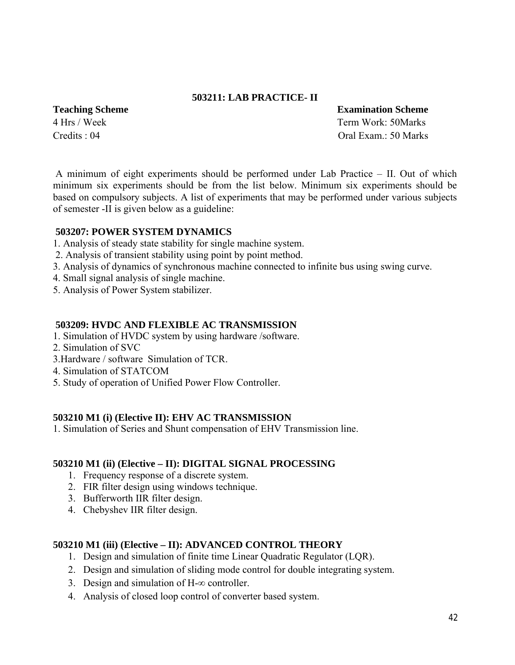#### **503211: LAB PRACTICE- II**

**Teaching Scheme Examination Scheme** 4 Hrs / Week Term Work: 50Marks Credits : 04 Oral Exam.: 50 Marks

A minimum of eight experiments should be performed under Lab Practice – II. Out of which minimum six experiments should be from the list below. Minimum six experiments should be based on compulsory subjects. A list of experiments that may be performed under various subjects of semester -II is given below as a guideline:

#### **503207: POWER SYSTEM DYNAMICS**

- 1. Analysis of steady state stability for single machine system.
- 2. Analysis of transient stability using point by point method.
- 3. Analysis of dynamics of synchronous machine connected to infinite bus using swing curve.
- 4. Small signal analysis of single machine.
- 5. Analysis of Power System stabilizer.

#### **503209: HVDC AND FLEXIBLE AC TRANSMISSION**

- 1. Simulation of HVDC system by using hardware /software.
- 2. Simulation of SVC
- 3.Hardware / software Simulation of TCR.
- 4. Simulation of STATCOM
- 5. Study of operation of Unified Power Flow Controller.

#### **503210 M1 (i) (Elective II): EHV AC TRANSMISSION**

1. Simulation of Series and Shunt compensation of EHV Transmission line.

#### **503210 M1 (ii) (Elective – II): DIGITAL SIGNAL PROCESSING**

- 1. Frequency response of a discrete system.
- 2. FIR filter design using windows technique.
- 3. Bufferworth IIR filter design.
- 4. Chebyshev IIR filter design.

#### **503210 M1 (iii) (Elective – II): ADVANCED CONTROL THEORY**

- 1. Design and simulation of finite time Linear Quadratic Regulator (LQR).
- 2. Design and simulation of sliding mode control for double integrating system.
- 3. Design and simulation of  $H$ - $\infty$  controller.
- 4. Analysis of closed loop control of converter based system.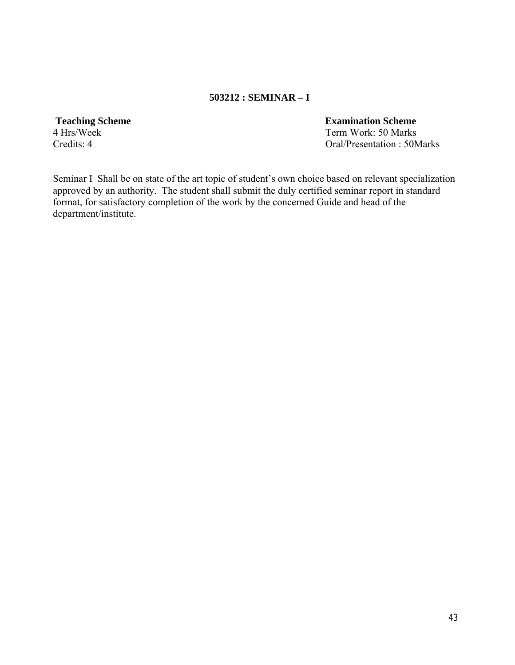#### **503212 : SEMINAR – I**

# 4 Hrs/Week Term Work: 50 Marks

**Teaching Scheme Examination Scheme**

Credits: 4 Oral/Presentation : 50Marks

Seminar I Shall be on state of the art topic of student's own choice based on relevant specialization approved by an authority. The student shall submit the duly certified seminar report in standard format, for satisfactory completion of the work by the concerned Guide and head of the department/institute.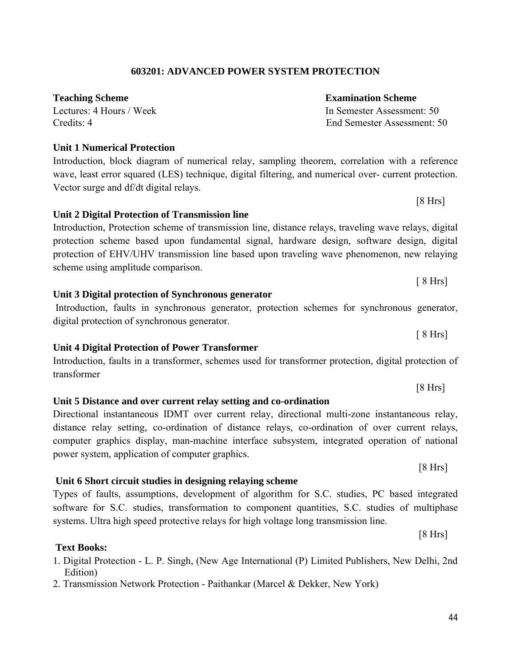# **603201: ADVANCED POWER SYSTEM PROTECTION**

# **Teaching Scheme Examination Scheme**

Lectures: 4 Hours / Week In Semester Assessment: 50

# **Unit 1 Numerical Protection**

Introduction, block diagram of numerical relay, sampling theorem, correlation with a reference wave, least error squared (LES) technique, digital filtering, and numerical over- current protection. Vector surge and df/dt digital relays.

**Unit 2 Digital Protection of Transmission line** Introduction, Protection scheme of transmission line, distance relays, traveling wave relays, digital protection scheme based upon fundamental signal, hardware design, software design, digital protection of EHV/UHV transmission line based upon traveling wave phenomenon, new relaying scheme using amplitude comparison.

**Unit 3 Digital protection of Synchronous generator** Introduction, faults in synchronous generator, protection schemes for synchronous generator, digital protection of synchronous generator.

# **Unit 4 Digital Protection of Power Transformer**

Introduction, faults in a transformer, schemes used for transformer protection, digital protection of transformer

[8 Hrs] **Unit 5 Distance and over current relay setting and co-ordination**  Directional instantaneous IDMT over current relay, directional multi-zone instantaneous relay,

distance relay setting, co-ordination of distance relays, co-ordination of over current relays, computer graphics display, man-machine interface subsystem, integrated operation of national power system, application of computer graphics.

# **Unit 6 Short circuit studies in designing relaying scheme**

# Types of faults, assumptions, development of algorithm for S.C. studies, PC based integrated software for S.C. studies, transformation to component quantities, S.C. studies of multiphase systems. Ultra high speed protective relays for high voltage long transmission line.

[8 Hrs]

# **Text Books:**

1. Digital Protection - L. P. Singh, (New Age International (P) Limited Publishers, New Delhi, 2nd Edition)

2. Transmission Network Protection - Paithankar (Marcel & Dekker, New York)

Credits: 4 End Semester Assessment: 50

[8 Hrs]

[8 Hrs]

[ 8 Hrs]

 $[8 Hrs]$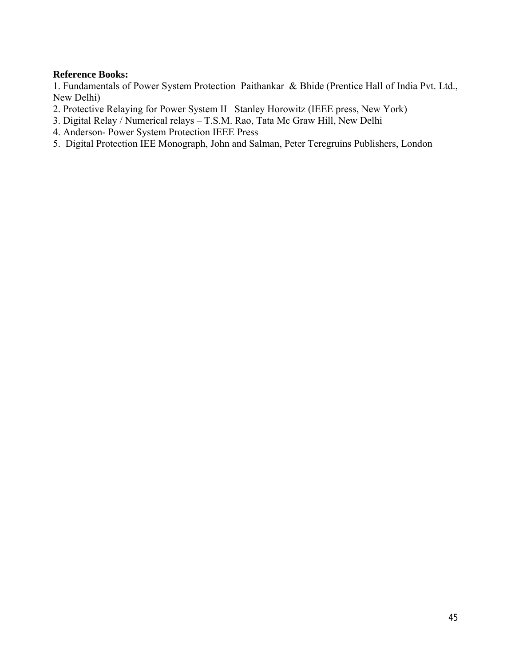#### **Reference Books:**

1. Fundamentals of Power System Protection Paithankar & Bhide (Prentice Hall of India Pvt. Ltd., New Delhi)

- 2. Protective Relaying for Power System II Stanley Horowitz (IEEE press, New York)
- 3. Digital Relay / Numerical relays T.S.M. Rao, Tata Mc Graw Hill, New Delhi
- 4. Anderson- Power System Protection IEEE Press
- 5. Digital Protection IEE Monograph, John and Salman, Peter Teregruins Publishers, London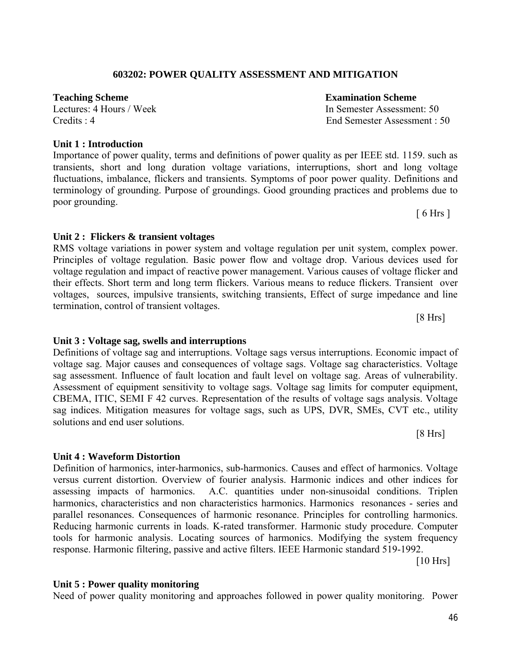# **603202: POWER QUALITY ASSESSMENT AND MITIGATION**

# **Unit 1 : Introduction**

Importance of power quality, terms and definitions of power quality as per IEEE std. 1159. such as transients, short and long duration voltage variations, interruptions, short and long voltage fluctuations, imbalance, flickers and transients. Symptoms of poor power quality. Definitions and terminology of grounding. Purpose of groundings. Good grounding practices and problems due to poor grounding.  $[6 Hrs]$ 

**Unit 2 : Flickers & transient voltages** 

RMS voltage variations in power system and voltage regulation per unit system, complex power. Principles of voltage regulation. Basic power flow and voltage drop. Various devices used for voltage regulation and impact of reactive power management. Various causes of voltage flicker and their effects. Short term and long term flickers. Various means to reduce flickers. Transient over voltages, sources, impulsive transients, switching transients, Effect of surge impedance and line termination, control of transient voltages.

# **Unit 3 : Voltage sag, swells and interruptions**

Definitions of voltage sag and interruptions. Voltage sags versus interruptions. Economic impact of voltage sag. Major causes and consequences of voltage sags. Voltage sag characteristics. Voltage sag assessment. Influence of fault location and fault level on voltage sag. Areas of vulnerability. Assessment of equipment sensitivity to voltage sags. Voltage sag limits for computer equipment, CBEMA, ITIC, SEMI F 42 curves. Representation of the results of voltage sags analysis. Voltage sag indices. Mitigation measures for voltage sags, such as UPS, DVR, SMEs, CVT etc., utility solutions and end user solutions.

# **Unit 4 : Waveform Distortion**

Definition of harmonics, inter-harmonics, sub-harmonics. Causes and effect of harmonics. Voltage versus current distortion. Overview of fourier analysis. Harmonic indices and other indices for assessing impacts of harmonics. A.C. quantities under non-sinusoidal conditions. Triplen harmonics, characteristics and non characteristics harmonics. Harmonics resonances - series and parallel resonances. Consequences of harmonic resonance. Principles for controlling harmonics. Reducing harmonic currents in loads. K-rated transformer. Harmonic study procedure. Computer tools for harmonic analysis. Locating sources of harmonics. Modifying the system frequency response. Harmonic filtering, passive and active filters. IEEE Harmonic standard 519-1992.

[10 Hrs]

# **Unit 5 : Power quality monitoring**

Need of power quality monitoring and approaches followed in power quality monitoring. Power

**Teaching Scheme Examination Scheme**  Lectures: 4 Hours / Week In Semester Assessment: 50 Credits : 4 End Semester Assessment : 50

 $[8 Hrs]$ 

[8 Hrs]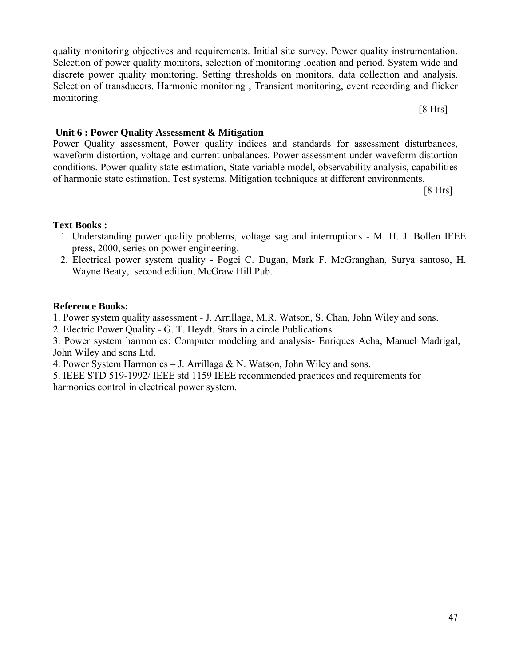quality monitoring objectives and requirements. Initial site survey. Power quality instrumentation. Selection of power quality monitors, selection of monitoring location and period. System wide and discrete power quality monitoring. Setting thresholds on monitors, data collection and analysis. Selection of transducers. Harmonic monitoring , Transient monitoring, event recording and flicker monitoring.

[8 Hrs]

#### **Unit 6 : Power Quality Assessment & Mitigation**

Power Quality assessment, Power quality indices and standards for assessment disturbances, waveform distortion, voltage and current unbalances. Power assessment under waveform distortion conditions. Power quality state estimation, State variable model, observability analysis, capabilities of harmonic state estimation. Test systems. Mitigation techniques at different environments.

[8 Hrs]

### **Text Books :**

- 1. Understanding power quality problems, voltage sag and interruptions M. H. J. Bollen IEEE press, 2000, series on power engineering.
- 2. Electrical power system quality Pogei C. Dugan, Mark F. McGranghan, Surya santoso, H. Wayne Beaty, second edition, McGraw Hill Pub.

#### **Reference Books:**

1. Power system quality assessment - J. Arrillaga, M.R. Watson, S. Chan, John Wiley and sons.

2. Electric Power Quality - G. T. Heydt. Stars in a circle Publications.

3. Power system harmonics: Computer modeling and analysis- Enriques Acha, Manuel Madrigal, John Wiley and sons Ltd.

4. Power System Harmonics – J. Arrillaga & N. Watson, John Wiley and sons.

5. IEEE STD 519-1992/ IEEE std 1159 IEEE recommended practices and requirements for harmonics control in electrical power system.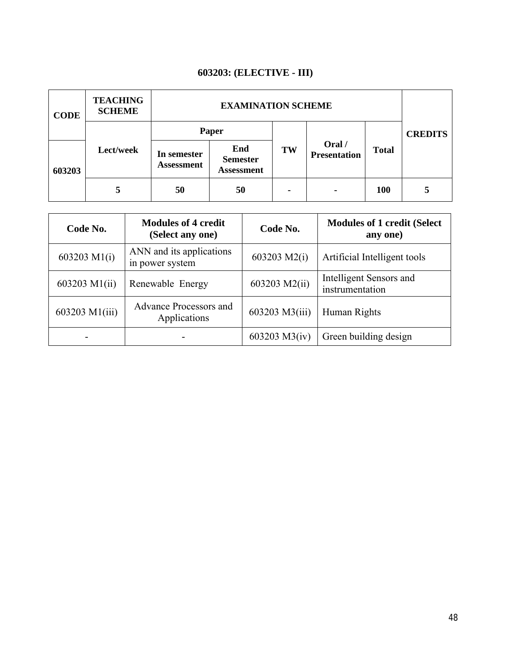# **603203: (ELECTIVE - III)**

| <b>CODE</b> | <b>TEACHING</b><br><b>SCHEME</b> | <b>EXAMINATION SCHEME</b> |                                             |    |                               |              |                |
|-------------|----------------------------------|---------------------------|---------------------------------------------|----|-------------------------------|--------------|----------------|
|             | Lect/week                        | Paper                     |                                             |    |                               |              | <b>CREDITS</b> |
| 603203      |                                  | In semester<br>Assessment | End<br><b>Semester</b><br><b>Assessment</b> | TW | Oral /<br><b>Presentation</b> | <b>Total</b> |                |
|             | 5                                | 50                        | 50                                          | ٠  |                               | 100          | 5              |

| Code No.       | <b>Modules of 4 credit</b><br>(Select any one) | Code No.       | <b>Modules of 1 credit (Select</b> )<br>any one) |  |  |
|----------------|------------------------------------------------|----------------|--------------------------------------------------|--|--|
| 603203 M1(i)   | ANN and its applications<br>in power system    | 603203 M2(i)   | Artificial Intelligent tools                     |  |  |
| 603203 M1(ii)  | Renewable Energy                               | 603203 M2(ii)  | Intelligent Sensors and<br>instrumentation       |  |  |
| 603203 M1(iii) | Advance Processors and<br>Applications         | 603203 M3(iii) | Human Rights                                     |  |  |
|                |                                                | 603203 M3(iv)  | Green building design                            |  |  |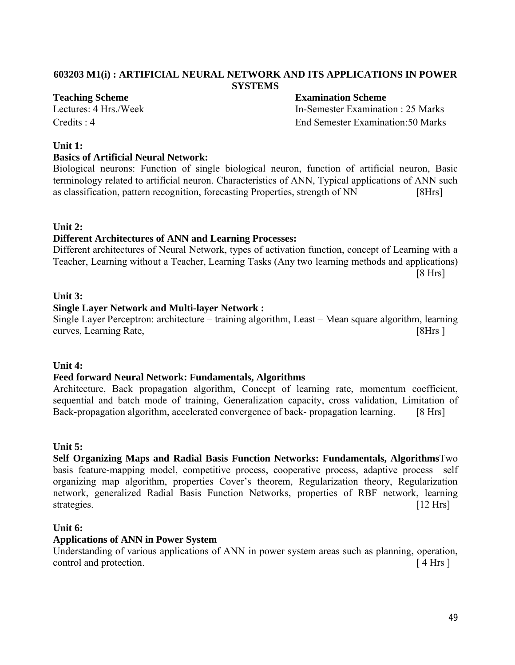#### **603203 M1(i) : ARTIFICIAL NEURAL NETWORK AND ITS APPLICATIONS IN POWER SYSTEMS**

#### **Teaching Scheme Examination Scheme**

Lectures: 4 Hrs./Week In-Semester Examination : 25 Marks Credits : 4 End Semester Examination:50 Marks

#### **Unit 1:**

#### **Basics of Artificial Neural Network:**

Biological neurons: Function of single biological neuron, function of artificial neuron, Basic terminology related to artificial neuron. Characteristics of ANN, Typical applications of ANN such as classification, pattern recognition, forecasting Properties, strength of NN [8Hrs]

#### **Unit 2:**

#### **Different Architectures of ANN and Learning Processes:**

Different architectures of Neural Network, types of activation function, concept of Learning with a Teacher, Learning without a Teacher, Learning Tasks (Any two learning methods and applications) [8 Hrs]

#### **Unit 3:**

#### **Single Layer Network and Multi-layer Network :**

Single Layer Perceptron: architecture – training algorithm, Least – Mean square algorithm, learning curves, Learning Rate, [8Hrs ]

#### **Unit 4:**

#### **Feed forward Neural Network: Fundamentals, Algorithms**

Architecture, Back propagation algorithm, Concept of learning rate, momentum coefficient, sequential and batch mode of training, Generalization capacity, cross validation, Limitation of Back-propagation algorithm, accelerated convergence of back- propagation learning. [8 Hrs]

#### **Unit 5:**

**Self Organizing Maps and Radial Basis Function Networks: Fundamentals, Algorithms**Two basis feature-mapping model, competitive process, cooperative process, adaptive process self organizing map algorithm, properties Cover's theorem, Regularization theory, Regularization network, generalized Radial Basis Function Networks, properties of RBF network, learning strategies. [12 Hrs]

#### **Unit 6:**

#### **Applications of ANN in Power System**

Understanding of various applications of ANN in power system areas such as planning, operation, control and protection.  $[4 \text{ Hrs } ]$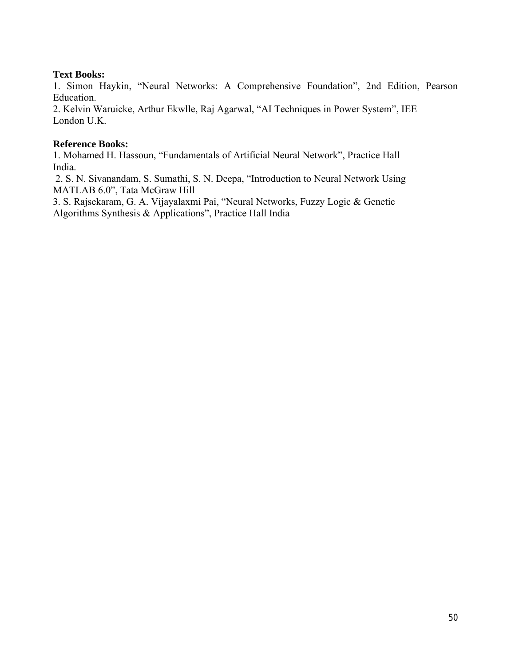#### **Text Books:**

1. Simon Haykin, "Neural Networks: A Comprehensive Foundation", 2nd Edition, Pearson Education.

2. Kelvin Waruicke, Arthur Ekwlle, Raj Agarwal, "AI Techniques in Power System", IEE London U.K.

#### **Reference Books:**

1. Mohamed H. Hassoun, "Fundamentals of Artificial Neural Network", Practice Hall India.

2. S. N. Sivanandam, S. Sumathi, S. N. Deepa, "Introduction to Neural Network Using MATLAB 6.0", Tata McGraw Hill

3. S. Rajsekaram, G. A. Vijayalaxmi Pai, "Neural Networks, Fuzzy Logic & Genetic Algorithms Synthesis & Applications", Practice Hall India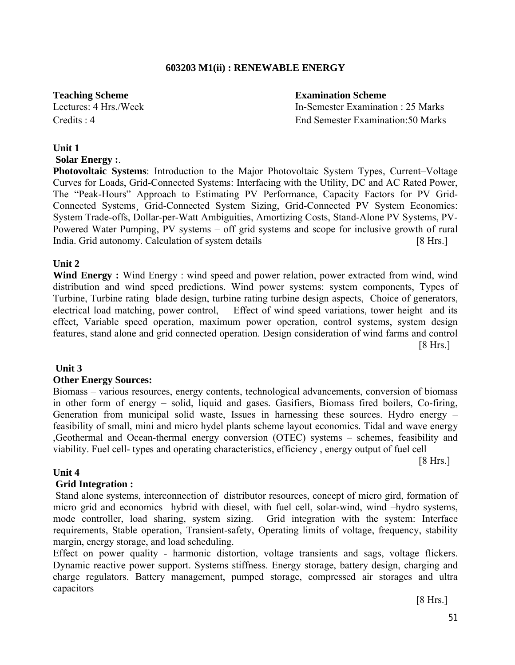#### **603203 M1(ii) : RENEWABLE ENERGY**

**Teaching Scheme Examination Scheme** Lectures: 4 Hrs./Week In-Semester Examination : 25 Marks Credits : 4 End Semester Examination:50 Marks

#### **Unit 1**

**Solar Energy :**.

**Photovoltaic Systems**: Introduction to the Major Photovoltaic System Types, Current–Voltage Curves for Loads, Grid-Connected Systems: Interfacing with the Utility, DC and AC Rated Power, The "Peak-Hours" Approach to Estimating PV Performance, Capacity Factors for PV Grid-Connected Systems¸ Grid-Connected System Sizing, Grid-Connected PV System Economics: System Trade-offs, Dollar-per-Watt Ambiguities, Amortizing Costs, Stand-Alone PV Systems, PV-Powered Water Pumping, PV systems – off grid systems and scope for inclusive growth of rural India. Grid autonomy. Calculation of system details [8 Hrs.]

#### **Unit 2**

**Wind Energy :** Wind Energy : wind speed and power relation, power extracted from wind, wind distribution and wind speed predictions. Wind power systems: system components, Types of Turbine, Turbine rating blade design, turbine rating turbine design aspects, Choice of generators, electrical load matching, power control, Effect of wind speed variations, tower height and its effect, Variable speed operation, maximum power operation, control systems, system design features, stand alone and grid connected operation. Design consideration of wind farms and control [8 Hrs.]

#### **Unit 3**

#### **Other Energy Sources:**

Biomass – various resources, energy contents, technological advancements, conversion of biomass in other form of energy – solid, liquid and gases. Gasifiers, Biomass fired boilers, Co-firing, Generation from municipal solid waste, Issues in harnessing these sources. Hydro energy – feasibility of small, mini and micro hydel plants scheme layout economics. Tidal and wave energy ,Geothermal and Ocean-thermal energy conversion (OTEC) systems – schemes, feasibility and viability. Fuel cell- types and operating characteristics, efficiency , energy output of fuel cell

[8 Hrs.]

#### **Unit 4**

#### **Grid Integration :**

Stand alone systems, interconnection of distributor resources, concept of micro gird, formation of micro grid and economics hybrid with diesel, with fuel cell, solar-wind, wind –hydro systems, mode controller, load sharing, system sizing. Grid integration with the system: Interface requirements, Stable operation, Transient-safety, Operating limits of voltage, frequency, stability margin, energy storage, and load scheduling.

Effect on power quality - harmonic distortion, voltage transients and sags, voltage flickers. Dynamic reactive power support. Systems stiffness. Energy storage, battery design, charging and charge regulators. Battery management, pumped storage, compressed air storages and ultra capacitors

[8 Hrs.]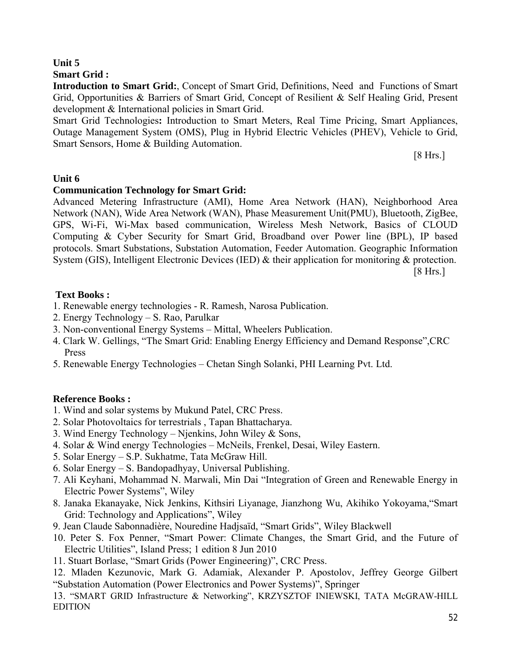# **Unit 5**

#### **Smart Grid :**

**Introduction to Smart Grid:**, Concept of Smart Grid, Definitions, Need and Functions of Smart Grid, Opportunities & Barriers of Smart Grid, Concept of Resilient & Self Healing Grid, Present development & International policies in Smart Grid.

Smart Grid Technologies**:** Introduction to Smart Meters, Real Time Pricing, Smart Appliances, Outage Management System (OMS), Plug in Hybrid Electric Vehicles (PHEV), Vehicle to Grid, Smart Sensors, Home & Building Automation.

[8 Hrs.]

### **Unit 6**

### **Communication Technology for Smart Grid:**

Advanced Metering Infrastructure (AMI), Home Area Network (HAN), Neighborhood Area Network (NAN), Wide Area Network (WAN), Phase Measurement Unit(PMU), Bluetooth, ZigBee, GPS, Wi-Fi, Wi-Max based communication, Wireless Mesh Network, Basics of CLOUD Computing & Cyber Security for Smart Grid, Broadband over Power line (BPL), IP based protocols. Smart Substations, Substation Automation, Feeder Automation. Geographic Information System (GIS), Intelligent Electronic Devices (IED) & their application for monitoring & protection.

[8 Hrs.]

### **Text Books :**

- 1. Renewable energy technologies R. Ramesh, Narosa Publication.
- 2. Energy Technology S. Rao, Parulkar
- 3. Non-conventional Energy Systems Mittal, Wheelers Publication.
- 4. Clark W. Gellings, "The Smart Grid: Enabling Energy Efficiency and Demand Response",CRC Press
- 5. Renewable Energy Technologies Chetan Singh Solanki, PHI Learning Pvt. Ltd.

# **Reference Books :**

- 1. Wind and solar systems by Mukund Patel, CRC Press.
- 2. Solar Photovoltaics for terrestrials , Tapan Bhattacharya.
- 3. Wind Energy Technology Njenkins, John Wiley & Sons,
- 4. Solar & Wind energy Technologies McNeils, Frenkel, Desai, Wiley Eastern.
- 5. Solar Energy S.P. Sukhatme, Tata McGraw Hill.
- 6. Solar Energy S. Bandopadhyay, Universal Publishing.
- 7. Ali Keyhani, Mohammad N. Marwali, Min Dai "Integration of Green and Renewable Energy in Electric Power Systems", Wiley
- 8. Janaka Ekanayake, Nick Jenkins, Kithsiri Liyanage, Jianzhong Wu, Akihiko Yokoyama,"Smart Grid: Technology and Applications", Wiley
- 9. Jean Claude Sabonnadière, Nouredine Hadjsaïd, "Smart Grids", Wiley Blackwell
- 10. Peter S. Fox Penner, "Smart Power: Climate Changes, the Smart Grid, and the Future of Electric Utilities", Island Press; 1 edition 8 Jun 2010
- 11. Stuart Borlase, "Smart Grids (Power Engineering)", CRC Press.

12. Mladen Kezunovic, Mark G. Adamiak, Alexander P. Apostolov, Jeffrey George Gilbert "Substation Automation (Power Electronics and Power Systems)", Springer

13. "SMART GRID Infrastructure & Networking", KRZYSZTOF INIEWSKI, TATA McGRAW-HILL EDITION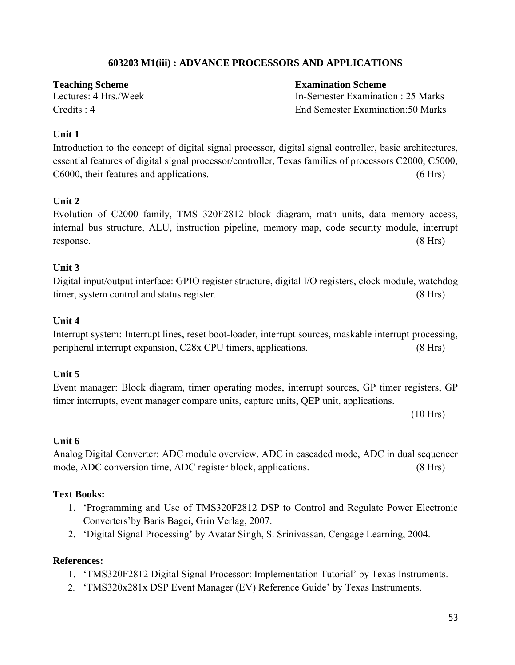#### **603203 M1(iii) : ADVANCE PROCESSORS AND APPLICATIONS**

**Teaching Scheme Examination Scheme**

Lectures: 4 Hrs./Week In-Semester Examination : 25 Marks Credits : 4 End Semester Examination:50 Marks

#### **Unit 1**

Introduction to the concept of digital signal processor, digital signal controller, basic architectures, essential features of digital signal processor/controller, Texas families of processors C2000, C5000, C6000, their features and applications. (6 Hrs)

#### **Unit 2**

Evolution of C2000 family, TMS 320F2812 block diagram, math units, data memory access, internal bus structure, ALU, instruction pipeline, memory map, code security module, interrupt response. (8 Hrs)

#### **Unit 3**

Digital input/output interface: GPIO register structure, digital I/O registers, clock module, watchdog timer, system control and status register. (8 Hrs)

#### **Unit 4**

Interrupt system: Interrupt lines, reset boot-loader, interrupt sources, maskable interrupt processing, peripheral interrupt expansion, C28x CPU timers, applications. (8 Hrs)

#### **Unit 5**

Event manager: Block diagram, timer operating modes, interrupt sources, GP timer registers, GP timer interrupts, event manager compare units, capture units, QEP unit, applications.

(10 Hrs)

#### **Unit 6**

Analog Digital Converter: ADC module overview, ADC in cascaded mode, ADC in dual sequencer mode, ADC conversion time, ADC register block, applications. (8 Hrs)

#### **Text Books:**

- 1. 'Programming and Use of TMS320F2812 DSP to Control and Regulate Power Electronic Converters'by Baris Bagci, Grin Verlag, 2007.
- 2. 'Digital Signal Processing' by Avatar Singh, S. Srinivassan, Cengage Learning, 2004.

#### **References:**

- 1. 'TMS320F2812 Digital Signal Processor: Implementation Tutorial' by Texas Instruments.
- 2. 'TMS320x281x DSP Event Manager (EV) Reference Guide' by Texas Instruments.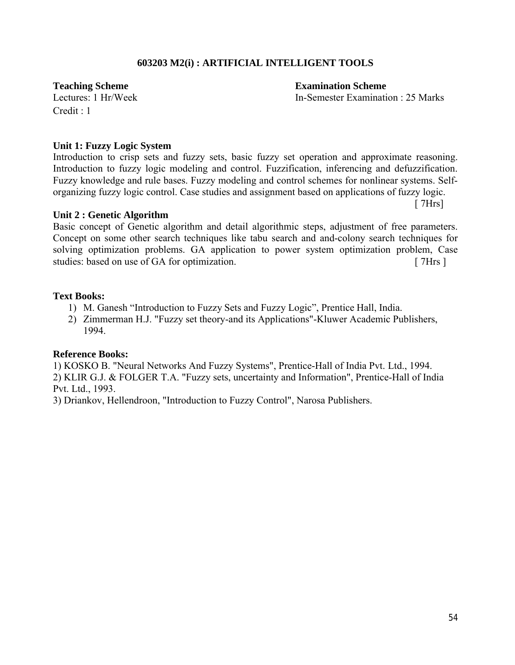#### **603203 M2(i) : ARTIFICIAL INTELLIGENT TOOLS**

In-Semester Examination : 25 Marks

**Teaching Scheme**<br> **Examination Scheme**<br> **Examination Scheme**<br> **Examination Scheme**<br> **Examination Scheme**  $Credit \cdot 1$ 

#### **Unit 1: Fuzzy Logic System**

Introduction to crisp sets and fuzzy sets, basic fuzzy set operation and approximate reasoning. Introduction to fuzzy logic modeling and control. Fuzzification, inferencing and defuzzification. Fuzzy knowledge and rule bases. Fuzzy modeling and control schemes for nonlinear systems. Selforganizing fuzzy logic control. Case studies and assignment based on applications of fuzzy logic. [ 7Hrs]

#### **Unit 2 : Genetic Algorithm**

Basic concept of Genetic algorithm and detail algorithmic steps, adjustment of free parameters. Concept on some other search techniques like tabu search and and-colony search techniques for solving optimization problems. GA application to power system optimization problem, Case studies: based on use of GA for optimization. [ 7Hrs ]

#### **Text Books:**

- 1) M. Ganesh "Introduction to Fuzzy Sets and Fuzzy Logic", Prentice Hall, India.
- 2) Zimmerman H.J. "Fuzzy set theory-and its Applications"-Kluwer Academic Publishers, 1994.

#### **Reference Books:**

1) KOSKO B. "Neural Networks And Fuzzy Systems", Prentice-Hall of India Pvt. Ltd., 1994. 2) KLIR G.J. & FOLGER T.A. "Fuzzy sets, uncertainty and Information", Prentice-Hall of India Pvt. Ltd., 1993.

3) Driankov, Hellendroon, "Introduction to Fuzzy Control", Narosa Publishers.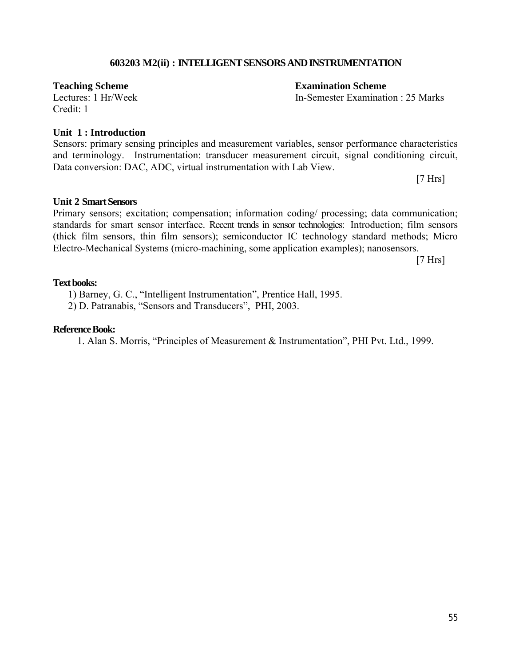#### **603203 M2(ii) : INTELLIGENT SENSORS AND INSTRUMENTATION**

Credit: 1

#### **Unit 1 : Introduction**

#### Sensors: primary sensing principles and measurement variables, sensor performance characteristics and terminology. Instrumentation: transducer measurement circuit, signal conditioning circuit, Data conversion: DAC, ADC, virtual instrumentation with Lab View.

[7 Hrs]

#### **Unit 2 Smart Sensors**

Primary sensors; excitation; compensation; information coding/ processing; data communication; standards for smart sensor interface. Recent trends in sensor technologies: Introduction; film sensors (thick film sensors, thin film sensors); semiconductor IC technology standard methods; Micro Electro-Mechanical Systems (micro-machining, some application examples); nanosensors.

[7 Hrs]

#### **Text books:**

1) Barney, G. C., "Intelligent Instrumentation", Prentice Hall, 1995.

2) D. Patranabis, "Sensors and Transducers", PHI, 2003.

#### **Reference Book:**

1. Alan S. Morris, "Principles of Measurement & Instrumentation", PHI Pvt. Ltd., 1999.

**Teaching Scheme**<br> **Examination Scheme**<br> **Examination Scheme**<br> **Examination Scheme**<br> **Examination Scheme** 

In-Semester Examination : 25 Marks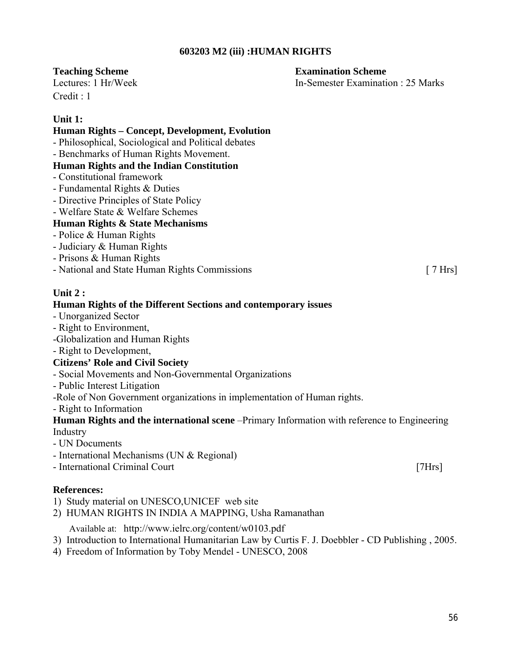#### **603203 M2 (iii) :HUMAN RIGHTS**

#### **Teaching Scheme Examination Scheme**

Lectures: 1 Hr/Week In-Semester Examination : 25 Marks  $C$ redit  $\cdot$  1

#### **Unit 1:**

#### **Human Rights – Concept, Development, Evolution**

- Philosophical, Sociological and Political debates
- Benchmarks of Human Rights Movement.

#### **Human Rights and the Indian Constitution**

- Constitutional framework
- Fundamental Rights & Duties
- Directive Principles of State Policy
- Welfare State & Welfare Schemes

#### **Human Rights & State Mechanisms**

- Police & Human Rights
- Judiciary & Human Rights
- Prisons & Human Rights
- National and State Human Rights Commissions [ 7 Hrs]

#### **Unit 2 :**

#### **Human Rights of the Different Sections and contemporary issues**

- Unorganized Sector
- Right to Environment,
- -Globalization and Human Rights
- Right to Development,

#### **Citizens' Role and Civil Society**

- Social Movements and Non-Governmental Organizations
- Public Interest Litigation
- -Role of Non Government organizations in implementation of Human rights.
- Right to Information

#### **Human Rights and the international scene** –Primary Information with reference to Engineering Industry

- UN Documents
- International Mechanisms (UN & Regional)
- International Criminal Court [7Hrs]

#### **References:**

- 1) Study material on UNESCO,UNICEF web site
- 2) HUMAN RIGHTS IN INDIA A MAPPING, Usha Ramanathan

Available at: http://www.ielrc.org/content/w0103.pdf

- 3) Introduction to International Humanitarian Law by Curtis F. J. Doebbler CD Publishing , 2005.
- 4) Freedom of Information by Toby Mendel UNESCO, 2008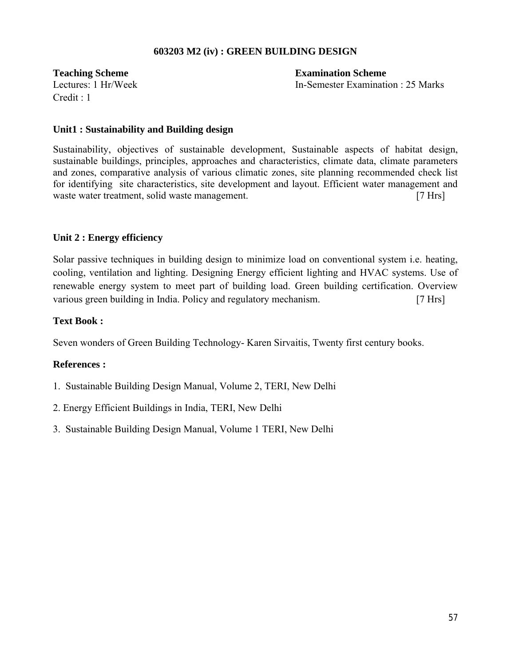#### **603203 M2 (iv) : GREEN BUILDING DESIGN**

Credit : 1

**Teaching Scheme Examination Scheme** Lectures: 1 Hr/Week In-Semester Examination : 25 Marks

#### **Unit1 : Sustainability and Building design**

Sustainability, objectives of sustainable development, Sustainable aspects of habitat design, sustainable buildings, principles, approaches and characteristics, climate data, climate parameters and zones, comparative analysis of various climatic zones, site planning recommended check list for identifying site characteristics, site development and layout. Efficient water management and waste water treatment, solid waste management. [7 Hrs]

#### **Unit 2 : Energy efficiency**

Solar passive techniques in building design to minimize load on conventional system i.e. heating, cooling, ventilation and lighting. Designing Energy efficient lighting and HVAC systems. Use of renewable energy system to meet part of building load. Green building certification. Overview various green building in India. Policy and regulatory mechanism. [7 Hrs]

#### **Text Book :**

Seven wonders of Green Building Technology- Karen Sirvaitis, Twenty first century books.

#### **References :**

- 1. Sustainable Building Design Manual, Volume 2, TERI, New Delhi
- 2. Energy Efficient Buildings in India, TERI, New Delhi
- 3. Sustainable Building Design Manual, Volume 1 TERI, New Delhi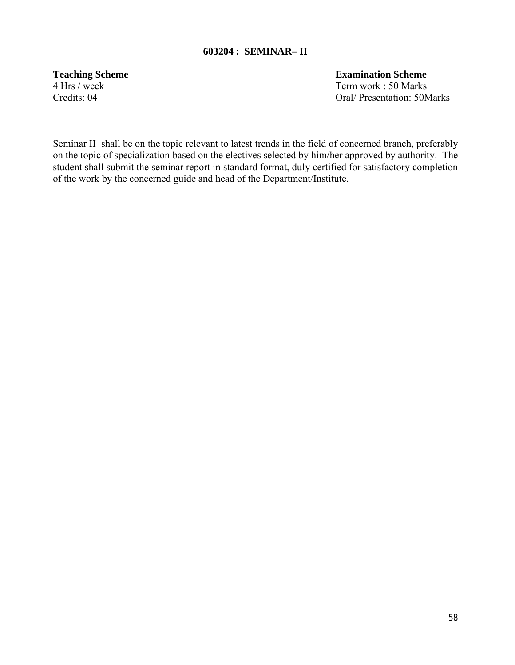#### **603204 : SEMINAR– II**

4 Hrs / week Term work : 50 Marks

**Teaching Scheme Examination Scheme** 

Credits: 04 Oral/ Presentation: 50Marks

Seminar II shall be on the topic relevant to latest trends in the field of concerned branch, preferably on the topic of specialization based on the electives selected by him/her approved by authority. The student shall submit the seminar report in standard format, duly certified for satisfactory completion of the work by the concerned guide and head of the Department/Institute.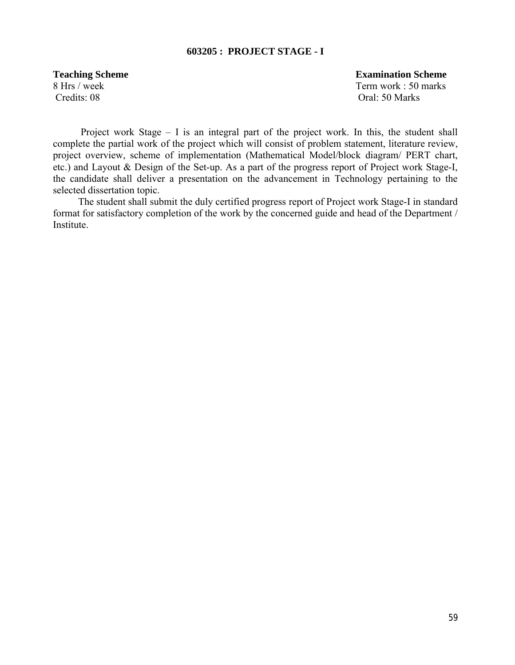#### **603205 : PROJECT STAGE - I**

Credits: 08 Oral: 50 Marks

**Teaching Scheme** Examination Scheme 8 Hrs / week Term work : 50 marks

 Project work Stage – I is an integral part of the project work. In this, the student shall complete the partial work of the project which will consist of problem statement, literature review, project overview, scheme of implementation (Mathematical Model/block diagram/ PERT chart, etc.) and Layout & Design of the Set-up. As a part of the progress report of Project work Stage-I, the candidate shall deliver a presentation on the advancement in Technology pertaining to the selected dissertation topic.

 The student shall submit the duly certified progress report of Project work Stage-I in standard format for satisfactory completion of the work by the concerned guide and head of the Department / Institute.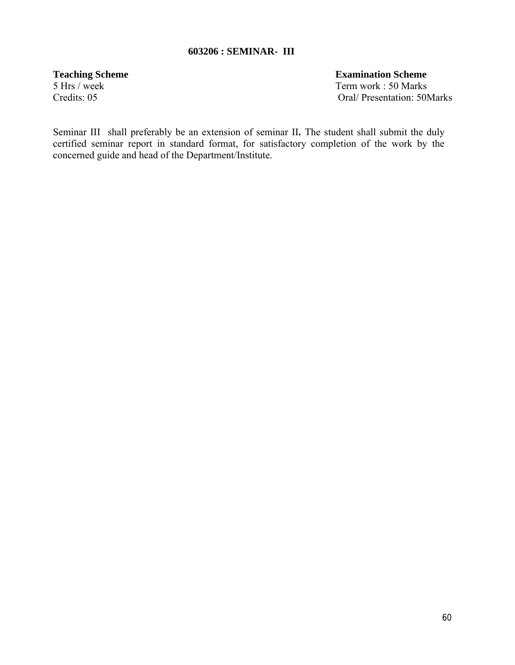#### **603206 : SEMINAR- III**

Credits: 05 Oral/ Presentation: 50Marks

**Teaching Scheme Examination Scheme** 5 Hrs / week Term work : 50 Marks

Seminar IIIshall preferably be an extension of seminar II**.** The student shall submit the duly certified seminar report in standard format, for satisfactory completion of the work by the concerned guide and head of the Department/Institute.